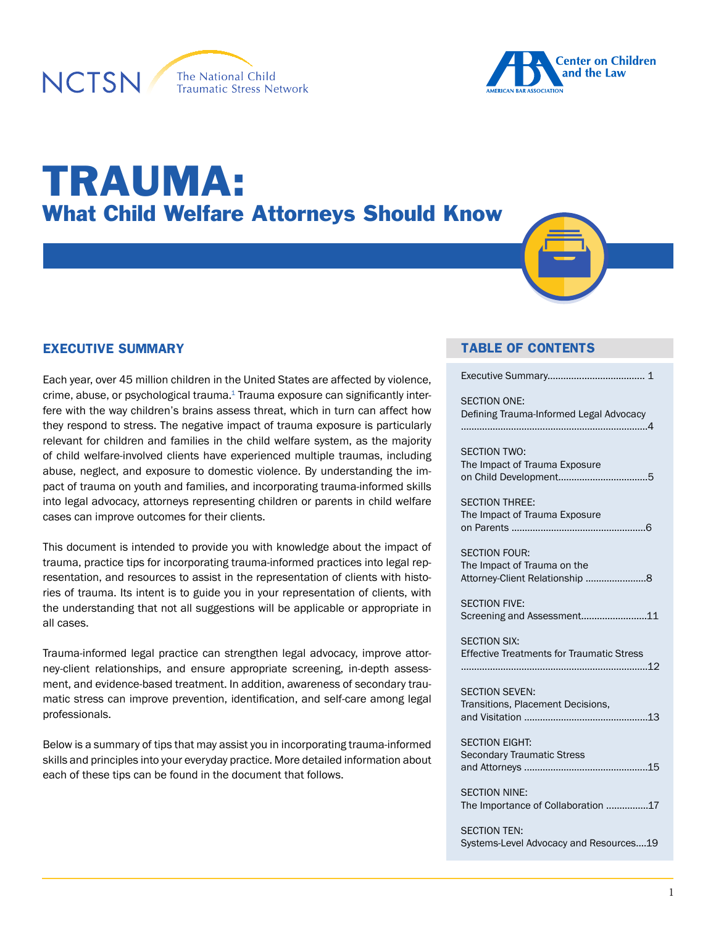





# TRAUMA: What Child Welfare Attorneys Should Know

#### **EXECUTIVE SUMMARY**

Each year, over 45 million children in the United States are affected by violence, crime, abuse, or psychological trauma. $1$  Trauma exposure can significantly interfere with the way children's brains assess threat, which in turn can affect how they respond to stress. The negative impact of trauma exposure is particularly relevant for children and families in the child welfare system, as the majority of child welfare-involved clients have experienced multiple traumas, including abuse, neglect, and exposure to domestic violence. By understanding the impact of trauma on youth and families, and incorporating trauma-informed skills into legal advocacy, attorneys representing children or parents in child welfare cases can improve outcomes for their clients.

This document is intended to provide you with knowledge about the impact of trauma, practice tips for incorporating trauma-informed practices into legal representation, and resources to assist in the representation of clients with histories of trauma. Its intent is to guide you in your representation of clients, with the understanding that not all suggestions will be applicable or appropriate in all cases.

Trauma-informed legal practice can strengthen legal advocacy, improve attorney-client relationships, and ensure appropriate screening, in-depth assessment, and evidence-based treatment. In addition, awareness of secondary traumatic stress can improve prevention, identification, and self-care among legal professionals.

Below is a summary of tips that may assist you in incorporating trauma-informed skills and principles into your everyday practice. More detailed information about each of these tips can be found in the document that follows.

#### **TABLE OF CONTENTS**

| <b>SECTION ONE:</b><br>Defining Trauma-Informed Legal Advocacy                        |
|---------------------------------------------------------------------------------------|
| <b>SECTION TWO:</b><br>The Impact of Trauma Exposure                                  |
| <b>SECTION THREE:</b><br>The Impact of Trauma Exposure                                |
| <b>SECTION FOUR:</b><br>The Impact of Trauma on the<br>Attorney-Client Relationship 8 |
| <b>SECTION FIVE:</b><br>Screening and Assessment11                                    |
| <b>SECTION SIX:</b><br><b>Effective Treatments for Traumatic Stress</b>               |
| <b>SECTION SEVEN:</b><br>Transitions, Placement Decisions,                            |
| <b>SECTION EIGHT:</b><br><b>Secondary Traumatic Stress</b>                            |
| <b>SECTION NINE:</b><br>The Importance of Collaboration 17                            |
| <b>SECTION TEN:</b><br>Systems-Level Advocacy and Resources19                         |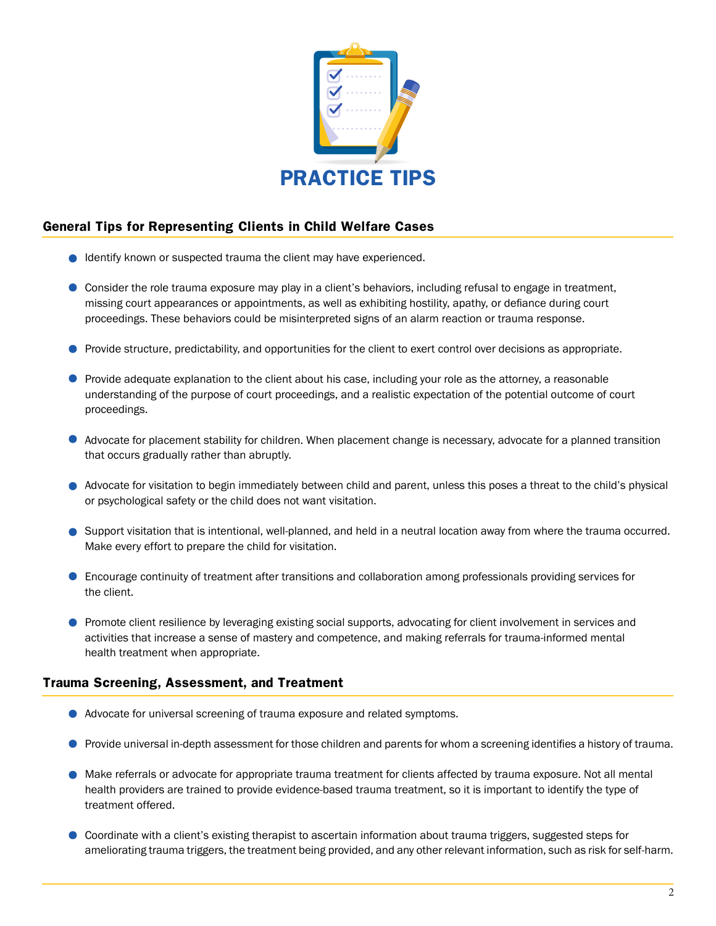

#### **General Tips for Representing Clients in Child Welfare Cases**

- **Identify known or suspected trauma the client may have experienced.**
- Consider the role trauma exposure may play in a client's behaviors, including refusal to engage in treatment, missing court appearances or appointments, as well as exhibiting hostility, apathy, or defiance during court proceedings. These behaviors could be misinterpreted signs of an alarm reaction or trauma response.
- **Provide structure, predictability, and opportunities for the client to exert control over decisions as appropriate.**
- **Provide adequate explanation to the client about his case, including your role as the attorney, a reasonable** understanding of the purpose of court proceedings, and a realistic expectation of the potential outcome of court proceedings.
- Advocate for placement stability for children. When placement change is necessary, advocate for a planned transition that occurs gradually rather than abruptly.
- Advocate for visitation to begin immediately between child and parent, unless this poses a threat to the child's physical or psychological safety or the child does not want visitation.
- Support visitation that is intentional, well-planned, and held in a neutral location away from where the trauma occurred. Make every effort to prepare the child for visitation.
- Encourage continuity of treatment after transitions and collaboration among professionals providing services for the client.
- **Promote client resilience by leveraging existing social supports, advocating for client involvement in services and** activities that increase a sense of mastery and competence, and making referrals for trauma-informed mental health treatment when appropriate.

#### **Trauma Screening, Assessment, and Treatment**

- Advocate for universal screening of trauma exposure and related symptoms.
- **Provide universal in-depth assessment for those children and parents for whom a screening identifies a history of trauma.**
- Make referrals or advocate for appropriate trauma treatment for clients affected by trauma exposure. Not all mental health providers are trained to provide evidence-based trauma treatment, so it is important to identify the type of treatment offered.
- Coordinate with a client's existing therapist to ascertain information about trauma triggers, suggested steps for ameliorating trauma triggers, the treatment being provided, and any other relevant information, such as risk for self-harm.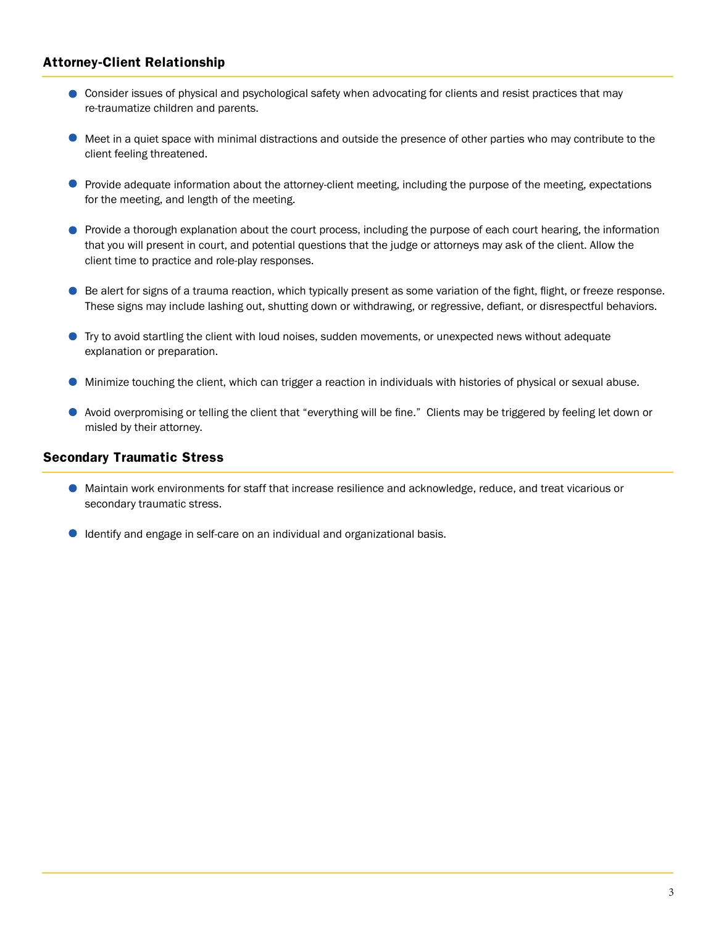#### **Attorney-Client Relationship**

- Consider issues of physical and psychological safety when advocating for clients and resist practices that may re-traumatize children and parents.
- $\bullet$  Meet in a quiet space with minimal distractions and outside the presence of other parties who may contribute to the client feeling threatened.
- **Provide adequate information about the attorney-client meeting, including the purpose of the meeting, expectations** for the meeting, and length of the meeting.
- **Provide a thorough explanation about the court process, including the purpose of each court hearing, the information** that you will present in court, and potential questions that the judge or attorneys may ask of the client. Allow the client time to practice and role-play responses.
- Be alert for signs of a trauma reaction, which typically present as some variation of the fight, flight, or freeze response. These signs may include lashing out, shutting down or withdrawing, or regressive, defiant, or disrespectful behaviors.
- Try to avoid startling the client with loud noises, sudden movements, or unexpected news without adequate explanation or preparation.
- Minimize touching the client, which can trigger a reaction in individuals with histories of physical or sexual abuse.
- Avoid overpromising or telling the client that "everything will be fine." Clients may be triggered by feeling let down or misled by their attorney.

#### **Secondary Traumatic Stress**

- Maintain work environments for staff that increase resilience and acknowledge, reduce, and treat vicarious or secondary traumatic stress.
- Identify and engage in self-care on an individual and organizational basis.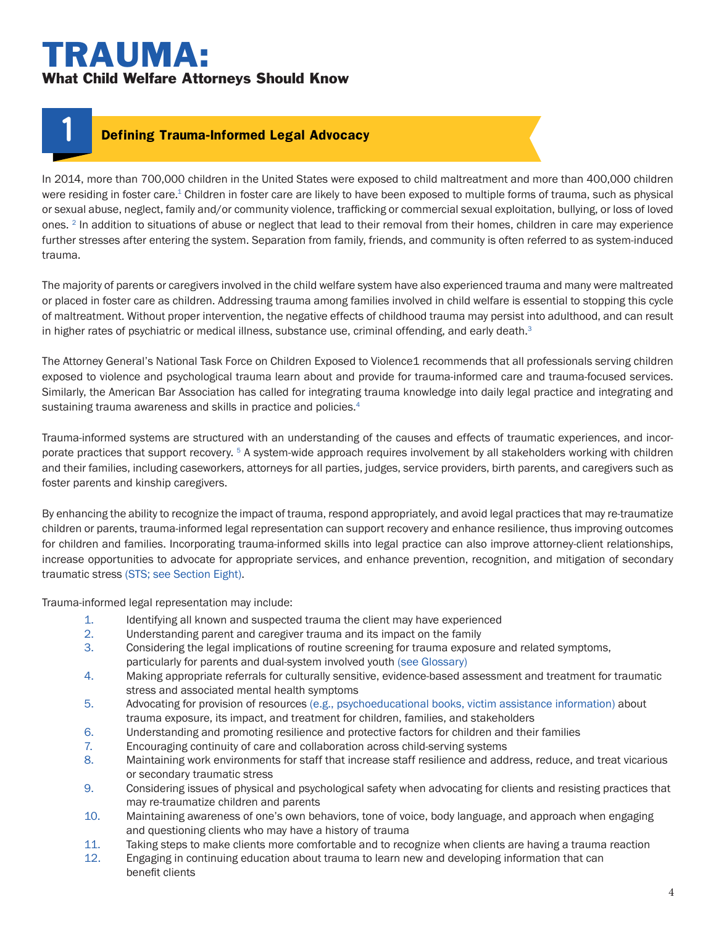# TRAUMA: What Child Welfare Attorneys Should Know

**1**

#### **Defining Trauma-Informed Legal Advocacy**

In 2014, more than 700,000 children in the United States were exposed to child maltreatment and more than 400,000 children were residing in foster care.<sup>1</sup> Children in foster care are likely to have been exposed to multiple forms of trauma, such as physical or sexual abuse, neglect, family and/or community violence, trafficking or commercial sexual exploitation, bullying, or loss of loved ones. <sup>[2](#page-19-1)</sup> In addition to situations of abuse or neglect that lead to their removal from their homes, children in care may experience further stresses after entering the system. Separation from family, friends, and community is often referred to as system-induced trauma.

The majority of parents or caregivers involved in the child welfare system have also experienced trauma and many were maltreated or placed in foster care as children. Addressing trauma among families involved in child welfare is essential to stopping this cycle of maltreatment. Without proper intervention, the negative effects of childhood trauma may persist into adulthood, and can result in higher rates of psychiatric or medical illness, substance use, criminal offending, and early death.<sup>3</sup>

The Attorney General's National Task Force on Children Exposed to Violence1 recommends that all professionals serving children exposed to violence and psychological trauma learn about and provide for trauma-informed care and trauma-focused services. Similarly, the American Bar Association has called for integrating trauma knowledge into daily legal practice and integrating and sustaining trauma awareness and skills in practice and policies.<sup>[4](#page-19-3)</sup>

Trauma-informed systems are structured with an understanding of the causes and effects of traumatic experiences, and incorporate practices that support recovery. [5](#page-19-4) A system-wide approach requires involvement by all stakeholders working with children and their families, including caseworkers, attorneys for all parties, judges, service providers, birth parents, and caregivers such as foster parents and kinship caregivers.

By enhancing the ability to recognize the impact of trauma, respond appropriately, and avoid legal practices that may re-traumatize children or parents, trauma-informed legal representation can support recovery and enhance resilience, thus improving outcomes for children and families. Incorporating trauma-informed skills into legal practice can also improve attorney-client relationships, increase opportunities to advocate for appropriate services, and enhance prevention, recognition, and mitigation of secondary traumatic stress (STS; se[e Section Eight\)](#page-14-0).

Trauma-informed legal representation may include:

- 1. Identifying all known and suspected trauma the client may have experienced
- 2. Understanding parent and caregiver trauma and its impact on the family
- 3. Considering the legal implications of routine screening for trauma exposure and related symptoms, particularly for parents and dual-system involved youth (see Glossary)
- 4. Making appropriate referrals for culturally sensitive, evidence-based assessment and treatment for traumatic stress and associated mental health symptoms
- 5. Advocating for provision of resources (e.g., psychoeducational books, victim assistance information) about trauma exposure, its impact, and treatment for children, families, and stakeholders
- 6. Understanding and promoting resilience and protective factors for children and their families
- 7. Encouraging continuity of care and collaboration across child-serving systems
- 8. Maintaining work environments for staff that increase staff resilience and address, reduce, and treat vicarious or secondary traumatic stress
- 9. Considering issues of physical and psychological safety when advocating for clients and resisting practices that may re-traumatize children and parents
- 10. Maintaining awareness of one's own behaviors, tone of voice, body language, and approach when engaging and questioning clients who may have a history of trauma
- 11. Taking steps to make clients more comfortable and to recognize when clients are having a trauma reaction
- 12. Engaging in continuing education about trauma to learn new and developing information that can benefit clients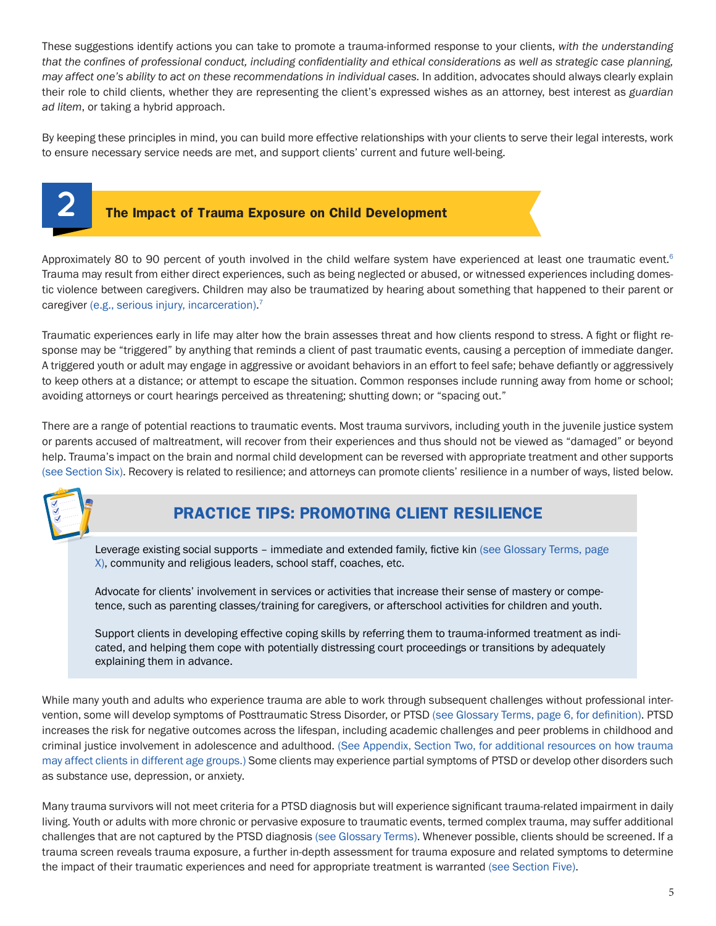These suggestions identify actions you can take to promote a trauma-informed response to your clients, *with the understanding that the confines of professional conduct, including confidentiality and ethical considerations as well as strategic case planning, may affect one's ability to act on these recommendations in individual cases.* In addition, advocates should always clearly explain their role to child clients, whether they are representing the client's expressed wishes as an attorney, best interest as *guardian ad litem*, or taking a hybrid approach.

By keeping these principles in mind, you can build more effective relationships with your clients to serve their legal interests, work to ensure necessary service needs are met, and support clients' current and future well-being.

<span id="page-4-0"></span>

#### **The Impact of Trauma Exposure on Child Development**

Approximately 80 to 90 percent of youth involved in the child welfare system have experienced at least one traumatic event.<sup>[6](#page-19-5)</sup> Trauma may result from either direct experiences, such as being neglected or abused, or witnessed experiences including domestic violence between caregivers. Children may also be traumatized by hearing about something that happened to their parent or caregiver (e.g., serious injury, incarceration).<sup>[7](#page-19-6)</sup>

Traumatic experiences early in life may alter how the brain assesses threat and how clients respond to stress. A fight or flight response may be "triggered" by anything that reminds a client of past traumatic events, causing a perception of immediate danger. A triggered youth or adult may engage in aggressive or avoidant behaviors in an effort to feel safe; behave defiantly or aggressively to keep others at a distance; or attempt to escape the situation. Common responses include running away from home or school; avoiding attorneys or court hearings perceived as threatening; shutting down; or "spacing out."

There are a range of potential reactions to traumatic events. Most trauma survivors, including youth in the juvenile justice system or parents accused of maltreatment, will recover from their experiences and thus should not be viewed as "damaged" or beyond help. Trauma's impact on the brain and normal child development can be reversed with appropriate treatment and other supports (see Section Six). Recovery is related to resilience; and attorneys can promote clients' resilience in a number of ways, listed below.



# **PRACTICE TIPS: PROMOTING CLIENT RESILIENCE**

Leverage existing social supports – immediate and extended family, fictive kin (see Glossary Terms, page X), community and religious leaders, school staff, coaches, etc.

Advocate for clients' involvement in services or activities that increase their sense of mastery or competence, such as parenting classes/training for caregivers, or afterschool activities for children and youth.

Support clients in developing effective coping skills by referring them to trauma-informed treatment as indicated, and helping them cope with potentially distressing court proceedings or transitions by adequately explaining them in advance.

While many youth and adults who experience trauma are able to work through subsequent challenges without professional intervention, some will develop symptoms of Posttraumatic Stress Disorder, or PTSD (see Glossary Terms, page 6, for definition). PTSD increases the risk for negative outcomes across the lifespan, including academic challenges and peer problems in childhood and criminal justice involvement in adolescence and adulthood. ([See Appendix, Section Two](#page-21-0), for additional resources on how trauma may affect clients in different age groups.) Some clients may experience partial symptoms of PTSD or develop other disorders such as substance use, depression, or anxiety.

Many trauma survivors will not meet criteria for a PTSD diagnosis but will experience significant trauma-related impairment in daily living. Youth or adults with more chronic or pervasive exposure to traumatic events, termed complex trauma, may suffer additional challenges that are not captured by the PTSD diagnosis (see Glossary Terms). Whenever possible, clients should be screened. If a trauma screen reveals trauma exposure, a further in-depth assessment for trauma exposure and related symptoms to determine the impact of their traumatic experiences and need for appropriate treatment is warranted ([see Section Five](#page-10-0)).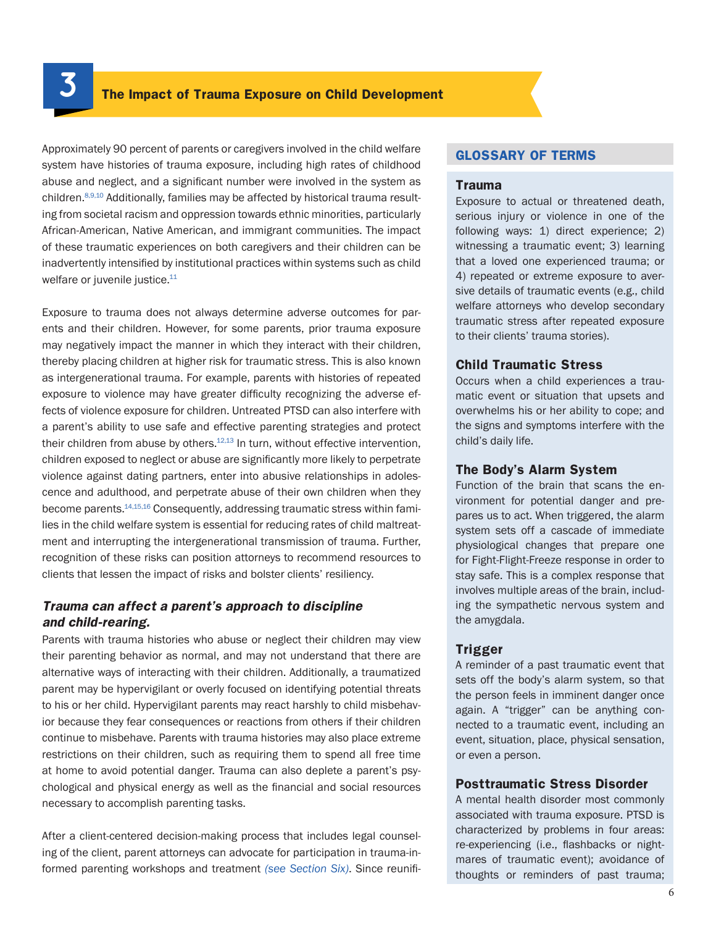**3**

Approximately 90 percent of parents or caregivers involved in the child welfare system have histories of trauma exposure, including high rates of childhood abuse and neglect, and a significant number were involved in the system as children.[8](#page-19-7),[9](#page-19-8)[,10](#page-19-9) Additionally, families may be affected by historical trauma resulting from societal racism and oppression towards ethnic minorities, particularly African-American, Native American, and immigrant communities. The impact of these traumatic experiences on both caregivers and their children can be inadvertently intensified by institutional practices within systems such as child welfare or juvenile justice.<sup>11</sup>

Exposure to trauma does not always determine adverse outcomes for parents and their children. However, for some parents, prior trauma exposure may negatively impact the manner in which they interact with their children, thereby placing children at higher risk for traumatic stress. This is also known as intergenerational trauma. For example, parents with histories of repeated exposure to violence may have greater difficulty recognizing the adverse effects of violence exposure for children. Untreated PTSD can also interfere with a parent's ability to use safe and effective parenting strategies and protect their children from abuse by others.<sup>12[,13](#page-19-12)</sup> In turn, without effective intervention, children exposed to neglect or abuse are significantly more likely to perpetrate violence against dating partners, enter into abusive relationships in adolescence and adulthood, and perpetrate abuse of their own children when they become parents[.14](#page-19-13)[,15,](#page-20-0)[16](#page-20-1) Consequently, addressing traumatic stress within families in the child welfare system is essential for reducing rates of child maltreatment and interrupting the intergenerational transmission of trauma. Further, recognition of these risks can position attorneys to recommend resources to clients that lessen the impact of risks and bolster clients' resiliency.

#### *Trauma can affect a parent's approach to discipline and child-rearing.*

Parents with trauma histories who abuse or neglect their children may view their parenting behavior as normal, and may not understand that there are alternative ways of interacting with their children. Additionally, a traumatized parent may be hypervigilant or overly focused on identifying potential threats to his or her child. Hypervigilant parents may react harshly to child misbehavior because they fear consequences or reactions from others if their children continue to misbehave. Parents with trauma histories may also place extreme restrictions on their children, such as requiring them to spend all free time at home to avoid potential danger. Trauma can also deplete a parent's psychological and physical energy as well as the financial and social resources necessary to accomplish parenting tasks.

After a client-centered decision-making process that includes legal counseling of the client, parent attorneys can advocate for participation in trauma-informed parenting workshops and treatment *(see [Section Six\)](#page-11-0)*. Since reunifi-

#### **GLOSSARY OF TERMS**

#### **Trauma**

Exposure to actual or threatened death, serious injury or violence in one of the following ways: 1) direct experience; 2) witnessing a traumatic event; 3) learning that a loved one experienced trauma; or 4) repeated or extreme exposure to aversive details of traumatic events (e.g., child welfare attorneys who develop secondary traumatic stress after repeated exposure to their clients' trauma stories).

#### **Child Traumatic Stress**

Occurs when a child experiences a traumatic event or situation that upsets and overwhelms his or her ability to cope; and the signs and symptoms interfere with the child's daily life.

#### **The Body's Alarm System**

Function of the brain that scans the environment for potential danger and prepares us to act. When triggered, the alarm system sets off a cascade of immediate physiological changes that prepare one for Fight-Flight-Freeze response in order to stay safe. This is a complex response that involves multiple areas of the brain, including the sympathetic nervous system and the amygdala.

#### **Trigger**

A reminder of a past traumatic event that sets off the body's alarm system, so that the person feels in imminent danger once again. A "trigger" can be anything connected to a traumatic event, including an event, situation, place, physical sensation, or even a person.

#### **Posttraumatic Stress Disorder**

A mental health disorder most commonly associated with trauma exposure. PTSD is characterized by problems in four areas: re-experiencing (i.e., flashbacks or nightmares of traumatic event); avoidance of thoughts or reminders of past trauma;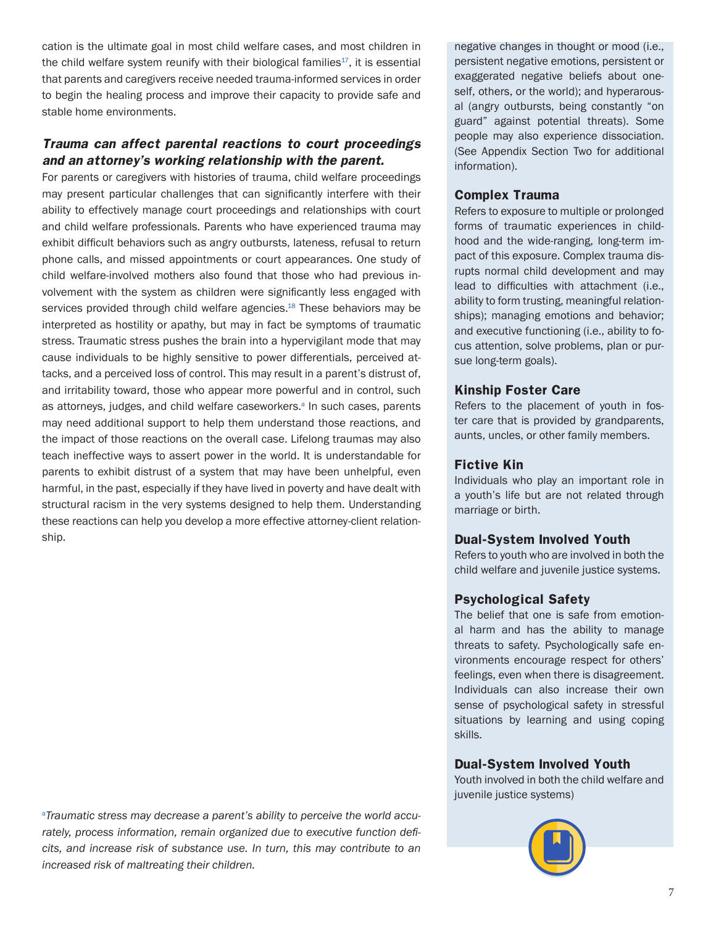cation is the ultimate goal in most child welfare cases, and most children in the child welfare system reunify with their biological families $17$ , it is essential that parents and caregivers receive needed trauma-informed services in order to begin the healing process and improve their capacity to provide safe and stable home environments.

#### *Trauma can affect parental reactions to court proceedings and an attorney's working relationship with the parent.*

For parents or caregivers with histories of trauma, child welfare proceedings may present particular challenges that can significantly interfere with their ability to effectively manage court proceedings and relationships with court and child welfare professionals. Parents who have experienced trauma may exhibit difficult behaviors such as angry outbursts, lateness, refusal to return phone calls, and missed appointments or court appearances. One study of child welfare-involved mothers also found that those who had previous involvement with the system as children were significantly less engaged with services provided through child welfare agencies.<sup>[18](#page-20-3)</sup> These behaviors may be interpreted as hostility or apathy, but may in fact be symptoms of traumatic stress. Traumatic stress pushes the brain into a hypervigilant mode that may cause individuals to be highly sensitive to power differentials, perceived attacks, and a perceived loss of control. This may result in a parent's distrust of, and irritability toward, those who appear more powerful and in control, such [a](#page-19-7)s attorneys, judges, and child welfare caseworkers.<sup>a</sup> In such cases, parents may need additional support to help them understand those reactions, and the impact of those reactions on the overall case. Lifelong traumas may also teach ineffective ways to assert power in the world. It is understandable for parents to exhibit distrust of a system that may have been unhelpful, even harmful, in the past, especially if they have lived in poverty and have dealt with structural racism in the very systems designed to help them. Understanding these reactions can help you develop a more effective attorney-client relationship.

a *Traumatic stress may decrease a parent's ability to perceive the world accurately, process information, remain organized due to executive function deficits, and increase risk of substance use. In turn, this may contribute to an increased risk of maltreating their children.*

negative changes in thought or mood (i.e., persistent negative emotions, persistent or exaggerated negative beliefs about oneself, others, or the world); and hyperarousal (angry outbursts, being constantly "on guard" against potential threats). Some people may also experience dissociation. (See Appendix Section Two for additional information).

#### **Complex Trauma**

Refers to exposure to multiple or prolonged forms of traumatic experiences in childhood and the wide-ranging, long-term impact of this exposure. Complex trauma disrupts normal child development and may lead to difficulties with attachment (i.e., ability to form trusting, meaningful relationships); managing emotions and behavior; and executive functioning (i.e., ability to focus attention, solve problems, plan or pursue long-term goals).

#### **Kinship Foster Care**

Refers to the placement of youth in foster care that is provided by grandparents, aunts, uncles, or other family members.

#### **Fictive Kin**

Individuals who play an important role in a youth's life but are not related through marriage or birth.

#### **Dual-System Involved Youth**

Refers to youth who are involved in both the child welfare and juvenile justice systems.

#### **Psychological Safety**

The belief that one is safe from emotional harm and has the ability to manage threats to safety. Psychologically safe environments encourage respect for others' feelings, even when there is disagreement. Individuals can also increase their own sense of psychological safety in stressful situations by learning and using coping skills.

#### **Dual-System Involved Youth**

Youth involved in both the child welfare and juvenile justice systems)

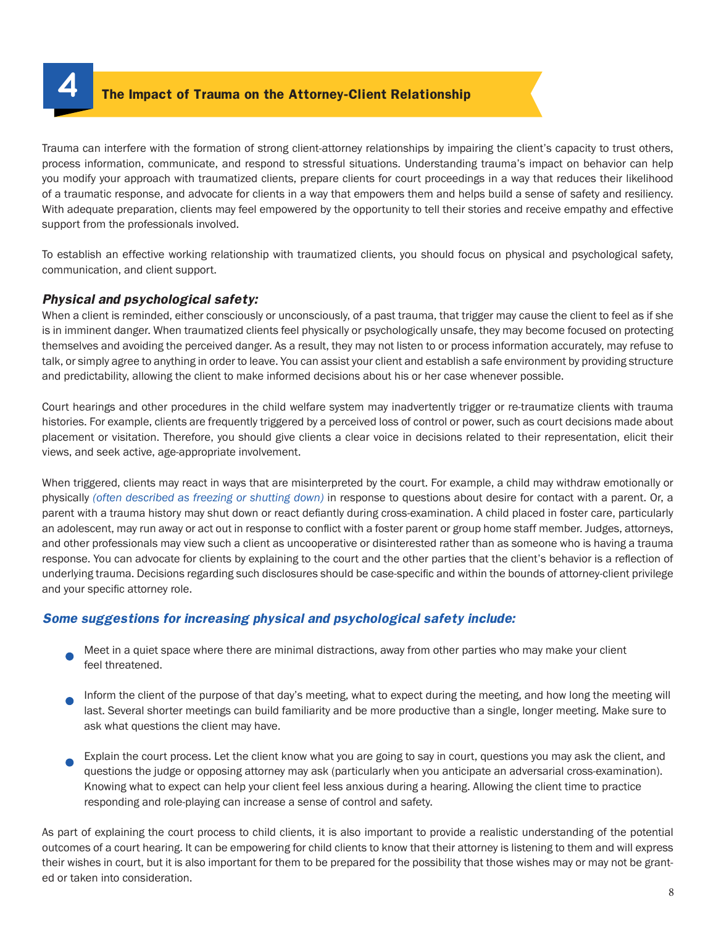**4 The Impact of Trauma on the Attorney-Client Relationship**

Trauma can interfere with the formation of strong client-attorney relationships by impairing the client's capacity to trust others, process information, communicate, and respond to stressful situations. Understanding trauma's impact on behavior can help you modify your approach with traumatized clients, prepare clients for court proceedings in a way that reduces their likelihood of a traumatic response, and advocate for clients in a way that empowers them and helps build a sense of safety and resiliency. With adequate preparation, clients may feel empowered by the opportunity to tell their stories and receive empathy and effective support from the professionals involved.

To establish an effective working relationship with traumatized clients, you should focus on physical and psychological safety, communication, and client support.

#### *Physical and psychological safety:*

When a client is reminded, either consciously or unconsciously, of a past trauma, that trigger may cause the client to feel as if she is in imminent danger. When traumatized clients feel physically or psychologically unsafe, they may become focused on protecting themselves and avoiding the perceived danger. As a result, they may not listen to or process information accurately, may refuse to talk, or simply agree to anything in order to leave. You can assist your client and establish a safe environment by providing structure and predictability, allowing the client to make informed decisions about his or her case whenever possible.

Court hearings and other procedures in the child welfare system may inadvertently trigger or re-traumatize clients with trauma histories. For example, clients are frequently triggered by a perceived loss of control or power, such as court decisions made about placement or visitation. Therefore, you should give clients a clear voice in decisions related to their representation, elicit their views, and seek active, age-appropriate involvement.

When triggered, clients may react in ways that are misinterpreted by the court. For example, a child may withdraw emotionally or physically *(often described as freezing or shutting down)* in response to questions about desire for contact with a parent. Or, a parent with a trauma history may shut down or react defiantly during cross-examination. A child placed in foster care, particularly an adolescent, may run away or act out in response to conflict with a foster parent or group home staff member. Judges, attorneys, and other professionals may view such a client as uncooperative or disinterested rather than as someone who is having a trauma response. You can advocate for clients by explaining to the court and the other parties that the client's behavior is a reflection of underlying trauma. Decisions regarding such disclosures should be case-specific and within the bounds of attorney-client privilege and your specific attorney role.

#### *Some suggestions for increasing physical and psychological safety include:*

- Meet in a quiet space where there are minimal distractions, away from other parties who may make your client feel threatened.
- Inform the client of the purpose of that day's meeting, what to expect during the meeting, and how long the meeting will last. Several shorter meetings can build familiarity and be more productive than a single, longer meeting. Make sure to ask what questions the client may have.
- Explain the court process. Let the client know what you are going to say in court, questions you may ask the client, and questions the judge or opposing attorney may ask (particularly when you anticipate an adversarial cross-examination). Knowing what to expect can help your client feel less anxious during a hearing. Allowing the client time to practice responding and role-playing can increase a sense of control and safety.

As part of explaining the court process to child clients, it is also important to provide a realistic understanding of the potential outcomes of a court hearing. It can be empowering for child clients to know that their attorney is listening to them and will express their wishes in court, but it is also important for them to be prepared for the possibility that those wishes may or may not be granted or taken into consideration.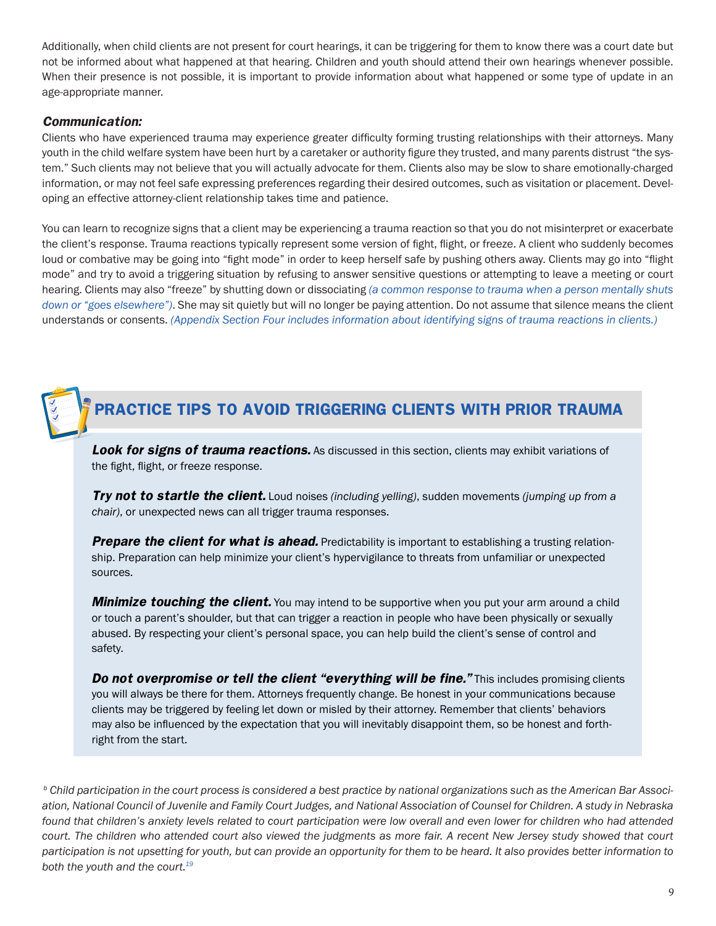Additionally, when child clients are not present for court hearings, it can be triggering for them to know there was a court date but not be informed about what happened at that hearing. Children and youth should attend their own hearings whenever possible. When their presence is not possible, it is important to provide information about what happened or some type of update in an age-appropriate manner.

#### *Communication:*

Clients who have experienced trauma may experience greater difficulty forming trusting relationships with their attorneys. Many youth in the child welfare system have been hurt by a caretaker or authority figure they trusted, and many parents distrust "the system." Such clients may not believe that you will actually advocate for them. Clients also may be slow to share emotionally-charged information, or may not feel safe expressing preferences regarding their desired outcomes, such as visitation or placement. Developing an effective attorney-client relationship takes time and patience.

You can learn to recognize signs that a client may be experiencing a trauma reaction so that you do not misinterpret or exacerbate the client's response. Trauma reactions typically represent some version of fight, flight, or freeze. A client who suddenly becomes loud or combative may be going into "fight mode" in order to keep herself safe by pushing others away. Clients may go into "flight mode" and try to avoid a triggering situation by refusing to answer sensitive questions or attempting to leave a meeting or court hearing. Clients may also "freeze" by shutting down or dissociating *(a common response to trauma when a person mentally shuts down or "goes elsewhere")*. She may sit quietly but will no longer be paying attention. Do not assume that silence means the client understands or consents. *(Appendix Section Four includes information about identifying signs of trauma reactions in clients.)* 



**Look for signs of trauma reactions.** As discussed in this section, clients may exhibit variations of the fight, flight, or freeze response.

*Try not to startle the client.* Loud noises *(including yelling)*, sudden movements *(jumping up from a chair)*, or unexpected news can all trigger trauma responses.

**Prepare the client for what is ahead.** Predictability is important to establishing a trusting relationship. Preparation can help minimize your client's hypervigilance to threats from unfamiliar or unexpected sources.

*Minimize touching the client.* You may intend to be supportive when you put your arm around a child or touch a parent's shoulder, but that can trigger a reaction in people who have been physically or sexually abused. By respecting your client's personal space, you can help build the client's sense of control and safety.

**Do not overpromise or tell the client "everything will be fine."** This includes promising clients you will always be there for them. Attorneys frequently change. Be honest in your communications because clients may be triggered by feeling let down or misled by their attorney. Remember that clients' behaviors may also be influenced by the expectation that you will inevitably disappoint them, so be honest and forthright from the start.

 *b Child participation in the court process is considered a best practice by national organizations such as the American Bar Association, National Council of Juvenile and Family Court Judges, and National Association of Counsel for Children. A study in Nebraska found that children's anxiety levels related to court participation were low overall and even lower for children who had attended court. The children who attended court also viewed the judgments as more fair. A recent New Jersey study showed that court participation is not upsetting for youth, but can provide an opportunity for them to be heard. It also provides better information to both the youth and the court.[19](#page-20-4)*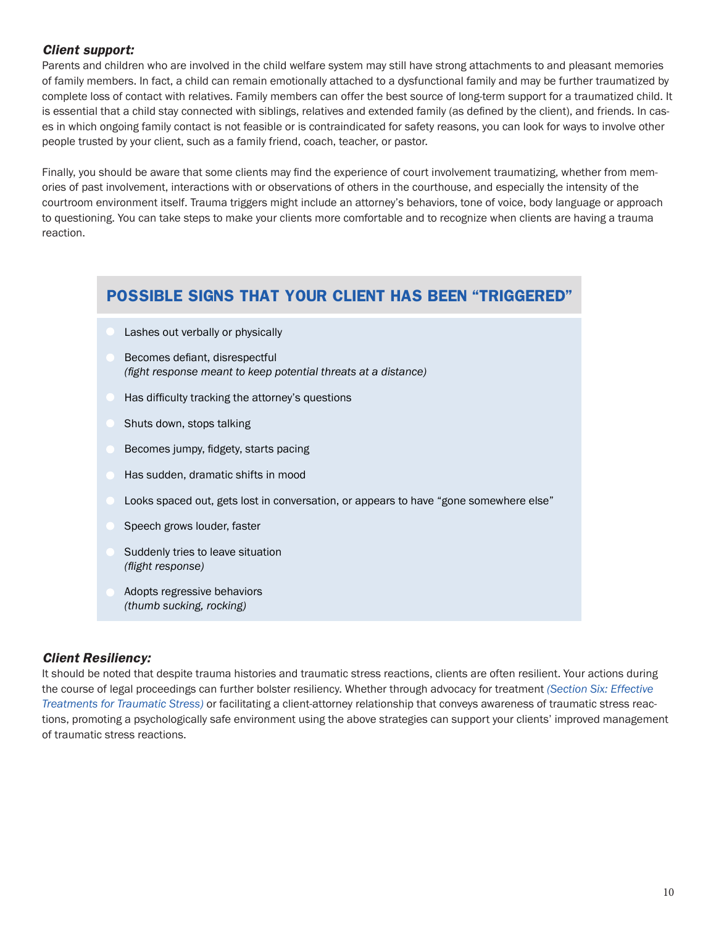#### *Client support:*

Parents and children who are involved in the child welfare system may still have strong attachments to and pleasant memories of family members. In fact, a child can remain emotionally attached to a dysfunctional family and may be further traumatized by complete loss of contact with relatives. Family members can offer the best source of long-term support for a traumatized child. It is essential that a child stay connected with siblings, relatives and extended family (as defined by the client), and friends. In cases in which ongoing family contact is not feasible or is contraindicated for safety reasons, you can look for ways to involve other people trusted by your client, such as a family friend, coach, teacher, or pastor.

Finally, you should be aware that some clients may find the experience of court involvement traumatizing, whether from memories of past involvement, interactions with or observations of others in the courthouse, and especially the intensity of the courtroom environment itself. Trauma triggers might include an attorney's behaviors, tone of voice, body language or approach to questioning. You can take steps to make your clients more comfortable and to recognize when clients are having a trauma reaction.

## **POSSIBLE SIGNS THAT YOUR CLIENT HAS BEEN "TRIGGERED"**

- Lashes out verbally or physically
- Becomes defiant, disrespectful *(fight response meant to keep potential threats at a distance)*
- Has difficulty tracking the attorney's questions
- Shuts down, stops talking
- Becomes jumpy, fidgety, starts pacing
- Has sudden, dramatic shifts in mood
- Looks spaced out, gets lost in conversation, or appears to have "gone somewhere else"
- Speech grows louder, faster
- Suddenly tries to leave situation *(flight response)*
- Adopts regressive behaviors *(thumb sucking, rocking)*

#### *Client Resiliency:*

It should be noted that despite trauma histories and traumatic stress reactions, clients are often resilient. Your actions during the course of legal proceedings can further bolster resiliency. Whether through advocacy for treatment *([Section Six](#page-11-0): Effective Treatments for Traumatic Stress)* or facilitating a client-attorney relationship that conveys awareness of traumatic stress reactions, promoting a psychologically safe environment using the above strategies can support your clients' improved management of traumatic stress reactions.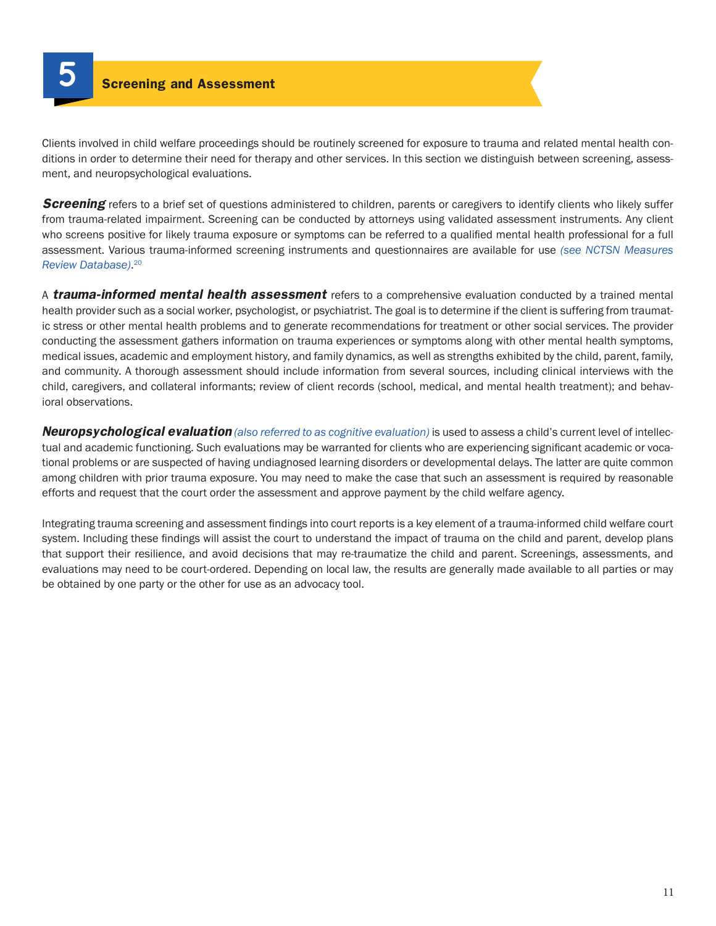<span id="page-10-0"></span>

Clients involved in child welfare proceedings should be routinely screened for exposure to trauma and related mental health conditions in order to determine their need for therapy and other services. In this section we distinguish between screening, assessment, and neuropsychological evaluations.

**Screening** refers to a brief set of questions administered to children, parents or caregivers to identify clients who likely suffer from trauma-related impairment. Screening can be conducted by attorneys using validated assessment instruments. Any client who screens positive for likely trauma exposure or symptoms can be referred to a qualified mental health professional for a full assessment. Various trauma-informed screening instruments and questionnaires are available for use *(see NCTSN Measures Review Database)*. [20](#page-20-5)

A *trauma-informed mental health assessment* refers to a comprehensive evaluation conducted by a trained mental health provider such as a social worker, psychologist, or psychiatrist. The goal is to determine if the client is suffering from traumatic stress or other mental health problems and to generate recommendations for treatment or other social services. The provider conducting the assessment gathers information on trauma experiences or symptoms along with other mental health symptoms, medical issues, academic and employment history, and family dynamics, as well as strengths exhibited by the child, parent, family, and community. A thorough assessment should include information from several sources, including clinical interviews with the child, caregivers, and collateral informants; review of client records (school, medical, and mental health treatment); and behavioral observations.

*Neuropsychological evaluation (also referred to as cognitive evaluation)* is used to assess a child's current level of intellectual and academic functioning. Such evaluations may be warranted for clients who are experiencing significant academic or vocational problems or are suspected of having undiagnosed learning disorders or developmental delays. The latter are quite common among children with prior trauma exposure. You may need to make the case that such an assessment is required by reasonable efforts and request that the court order the assessment and approve payment by the child welfare agency.

Integrating trauma screening and assessment findings into court reports is a key element of a trauma-informed child welfare court system. Including these findings will assist the court to understand the impact of trauma on the child and parent, develop plans that support their resilience, and avoid decisions that may re-traumatize the child and parent. Screenings, assessments, and evaluations may need to be court-ordered. Depending on local law, the results are generally made available to all parties or may be obtained by one party or the other for use as an advocacy tool.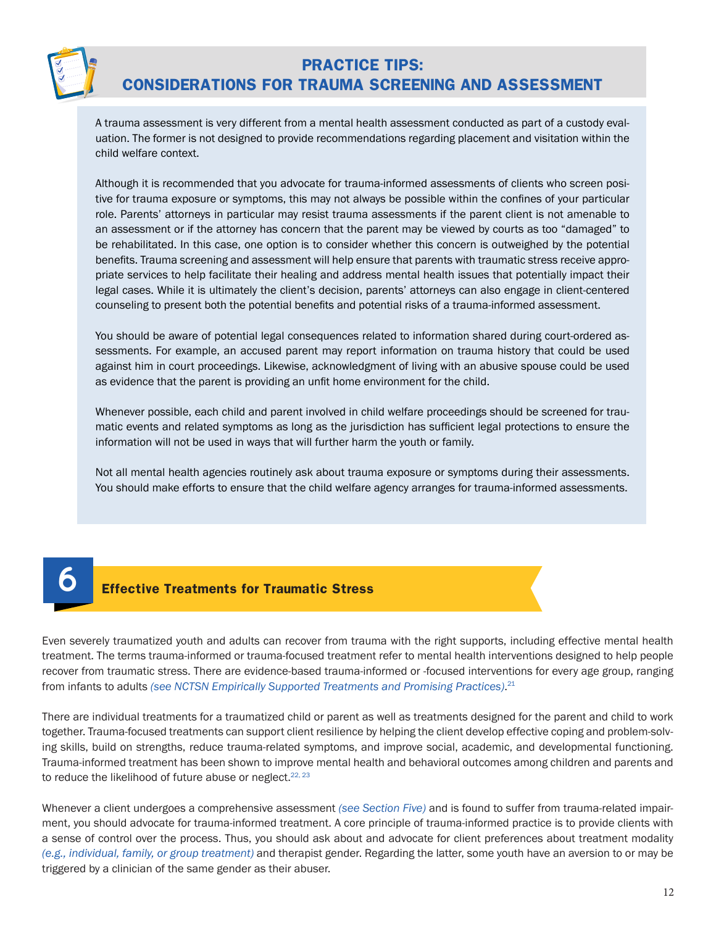

# **PRACTICE TIPS: CONSIDERATIONS FOR TRAUMA SCREENING AND ASSESSMENT**

A trauma assessment is very different from a mental health assessment conducted as part of a custody evaluation. The former is not designed to provide recommendations regarding placement and visitation within the child welfare context.

Although it is recommended that you advocate for trauma-informed assessments of clients who screen positive for trauma exposure or symptoms, this may not always be possible within the confines of your particular role. Parents' attorneys in particular may resist trauma assessments if the parent client is not amenable to an assessment or if the attorney has concern that the parent may be viewed by courts as too "damaged" to be rehabilitated. In this case, one option is to consider whether this concern is outweighed by the potential benefits. Trauma screening and assessment will help ensure that parents with traumatic stress receive appropriate services to help facilitate their healing and address mental health issues that potentially impact their legal cases. While it is ultimately the client's decision, parents' attorneys can also engage in client-centered counseling to present both the potential benefits and potential risks of a trauma-informed assessment.

You should be aware of potential legal consequences related to information shared during court-ordered assessments. For example, an accused parent may report information on trauma history that could be used against him in court proceedings. Likewise, acknowledgment of living with an abusive spouse could be used as evidence that the parent is providing an unfit home environment for the child.

Whenever possible, each child and parent involved in child welfare proceedings should be screened for traumatic events and related symptoms as long as the jurisdiction has sufficient legal protections to ensure the information will not be used in ways that will further harm the youth or family.

Not all mental health agencies routinely ask about trauma exposure or symptoms during their assessments. You should make efforts to ensure that the child welfare agency arranges for trauma-informed assessments.

### **6 Effective Treatments for Traumatic Stress**

<span id="page-11-0"></span>Even severely traumatized youth and adults can recover from trauma with the right supports, including effective mental health treatment. The terms trauma-informed or trauma-focused treatment refer to mental health interventions designed to help people recover from traumatic stress. There are evidence-based trauma-informed or -focused interventions for every age group, ranging from infants to adults *(see NCTSN Empirically Supported Treatments and Promising Practices)*. [21](#page-20-6)

There are individual treatments for a traumatized child or parent as well as treatments designed for the parent and child to work together. Trauma-focused treatments can support client resilience by helping the client develop effective coping and problem-solving skills, build on strengths, reduce trauma-related symptoms, and improve social, academic, and developmental functioning. Trauma-informed treatment has been shown to improve mental health and behavioral outcomes among children and parents and to reduce the likelihood of future abuse or neglect.<sup>[22](#page-20-7), [23](#page-20-8)</sup>

Whenever a client undergoes a comprehensive assessment *(see [Section Five](#page-10-0))* and is found to suffer from trauma-related impairment, you should advocate for trauma-informed treatment. A core principle of trauma-informed practice is to provide clients with a sense of control over the process. Thus, you should ask about and advocate for client preferences about treatment modality *(e.g., individual, family, or group treatment)* and therapist gender. Regarding the latter, some youth have an aversion to or may be triggered by a clinician of the same gender as their abuser.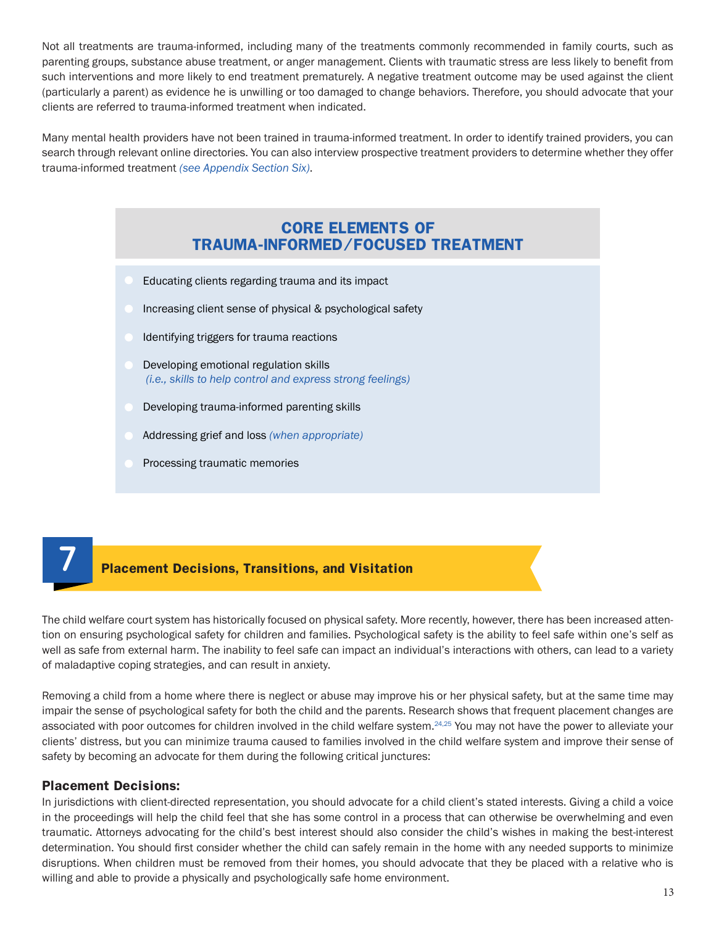Not all treatments are trauma-informed, including many of the treatments commonly recommended in family courts, such as parenting groups, substance abuse treatment, or anger management. Clients with traumatic stress are less likely to benefit from such interventions and more likely to end treatment prematurely. A negative treatment outcome may be used against the client (particularly a parent) as evidence he is unwilling or too damaged to change behaviors. Therefore, you should advocate that your clients are referred to trauma-informed treatment when indicated.

Many mental health providers have not been trained in trauma-informed treatment. In order to identify trained providers, you can search through relevant online directories. You can also interview prospective treatment providers to determine whether they offer trauma-informed treatment *(see [Appendix Section Six](#page-22-0))*.

### **CORE ELEMENTS OF TRAUMA-INFORMED/FOCUSED TREATMENT**

- Educating clients regarding trauma and its impact
- Increasing client sense of physical & psychological safety
- Identifying triggers for trauma reactions
- Developing emotional regulation skills  *(i.e., skills to help control and express strong feelings)*
- Developing trauma-informed parenting skills
- Addressing grief and loss *(when appropriate)*
- Processing traumatic memories

# **7 Placement Decisions, Transitions, and Visitation**

The child welfare court system has historically focused on physical safety. More recently, however, there has been increased attention on ensuring psychological safety for children and families. Psychological safety is the ability to feel safe within one's self as well as safe from external harm. The inability to feel safe can impact an individual's interactions with others, can lead to a variety of maladaptive coping strategies, and can result in anxiety.

Removing a child from a home where there is neglect or abuse may improve his or her physical safety, but at the same time may impair the sense of psychological safety for both the child and the parents. Research shows that frequent placement changes are associated with poor outcomes for children involved in the child welfare system.<sup>[24](#page-20-9),[25](#page-20-10)</sup> You may not have the power to alleviate your clients' distress, but you can minimize trauma caused to families involved in the child welfare system and improve their sense of safety by becoming an advocate for them during the following critical junctures:

#### **Placement Decisions:**

In jurisdictions with client-directed representation, you should advocate for a child client's stated interests. Giving a child a voice in the proceedings will help the child feel that she has some control in a process that can otherwise be overwhelming and even traumatic. Attorneys advocating for the child's best interest should also consider the child's wishes in making the best-interest determination. You should first consider whether the child can safely remain in the home with any needed supports to minimize disruptions. When children must be removed from their homes, you should advocate that they be placed with a relative who is willing and able to provide a physically and psychologically safe home environment.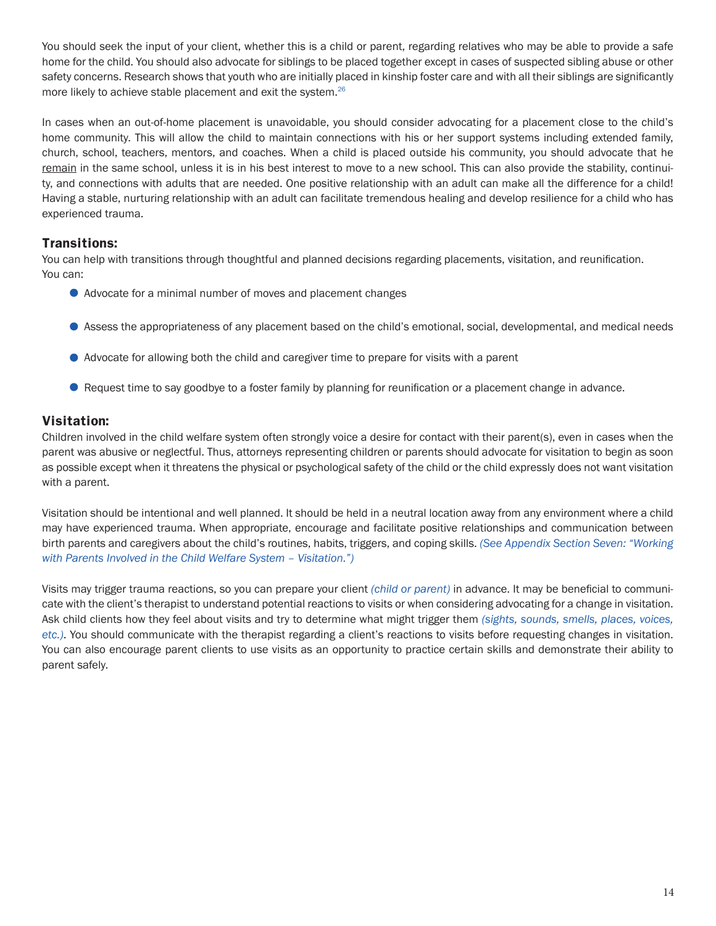You should seek the input of your client, whether this is a child or parent, regarding relatives who may be able to provide a safe home for the child. You should also advocate for siblings to be placed together except in cases of suspected sibling abuse or other safety concerns. Research shows that youth who are initially placed in kinship foster care and with all their siblings are significantly more likely to achieve stable placement and exit the system.<sup>[26](#page-20-11)</sup>

In cases when an out-of-home placement is unavoidable, you should consider advocating for a placement close to the child's home community. This will allow the child to maintain connections with his or her support systems including extended family, church, school, teachers, mentors, and coaches. When a child is placed outside his community, you should advocate that he remain in the same school, unless it is in his best interest to move to a new school. This can also provide the stability, continuity, and connections with adults that are needed. One positive relationship with an adult can make all the difference for a child! Having a stable, nurturing relationship with an adult can facilitate tremendous healing and develop resilience for a child who has experienced trauma.

#### **Transitions:**

You can help with transitions through thoughtful and planned decisions regarding placements, visitation, and reunification. You can:

- Advocate for a minimal number of moves and placement changes
- Assess the appropriateness of any placement based on the child's emotional, social, developmental, and medical needs
- Advocate for allowing both the child and caregiver time to prepare for visits with a parent
- Request time to say goodbye to a foster family by planning for reunification or a placement change in advance.

#### **Visitation:**

Children involved in the child welfare system often strongly voice a desire for contact with their parent(s), even in cases when the parent was abusive or neglectful. Thus, attorneys representing children or parents should advocate for visitation to begin as soon as possible except when it threatens the physical or psychological safety of the child or the child expressly does not want visitation with a parent.

Visitation should be intentional and well planned. It should be held in a neutral location away from any environment where a child may have experienced trauma. When appropriate, encourage and facilitate positive relationships and communication between birth parents and caregivers about the child's routines, habits, triggers, and coping skills. *(See A[ppendix Section Seven](#page-23-0): "Working with Parents Involved in the Child Welfare System – Visitation.")*

Visits may trigger trauma reactions, so you can prepare your client *(child or parent)* in advance. It may be beneficial to communicate with the client's therapist to understand potential reactions to visits or when considering advocating for a change in visitation. Ask child clients how they feel about visits and try to determine what might trigger them *(sights, sounds, smells, places, voices, etc.)*. You should communicate with the therapist regarding a client's reactions to visits before requesting changes in visitation. You can also encourage parent clients to use visits as an opportunity to practice certain skills and demonstrate their ability to parent safely.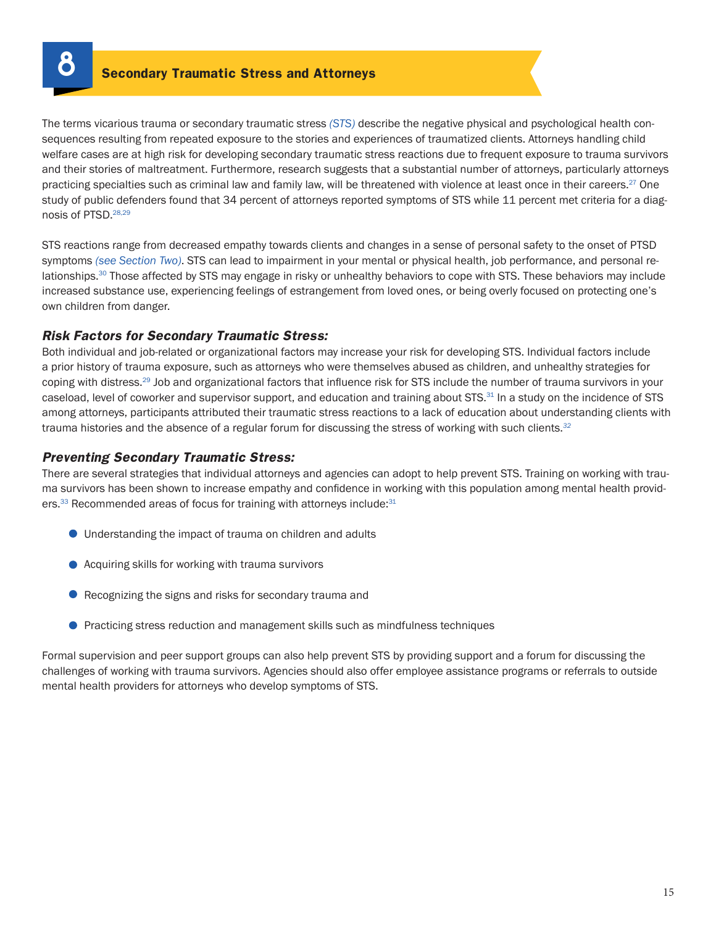<span id="page-14-0"></span>

The terms vicarious trauma or secondary traumatic stress *(STS)* describe the negative physical and psychological health consequences resulting from repeated exposure to the stories and experiences of traumatized clients. Attorneys handling child welfare cases are at high risk for developing secondary traumatic stress reactions due to frequent exposure to trauma survivors and their stories of maltreatment. Furthermore, research suggests that a substantial number of attorneys, particularly attorneys practicing specialties such as criminal law and family law, will be threatened with violence at least once in their careers.<sup>27</sup> One study of public defenders found that 34 percent of attorneys reported symptoms of STS while 11 percent met criteria for a diagnosis of PTSD.[28](#page-20-13),[29](#page-20-14)

STS reactions range from decreased empathy towards clients and changes in a sense of personal safety to the onset of PTSD symptoms *(see [Section Two](#page-4-0))*. STS can lead to impairment in your mental or physical health, job performance, and personal relationships.<sup>30</sup> Those affected by STS may engage in risky or unhealthy behaviors to cope with STS. These behaviors may include increased substance use, experiencing feelings of estrangement from loved ones, or being overly focused on protecting one's own children from danger.

#### *Risk Factors for Secondary Traumatic Stress:*

Both individual and job-related or organizational factors may increase your risk for developing STS. Individual factors include a prior history of trauma exposure, such as attorneys who were themselves abused as children, and unhealthy strategies for coping with distress.[29](#page-20-14) Job and organizational factors that influence risk for STS include the number of trauma survivors in your caseload, level of coworker and supervisor support, and education and training about STS.<sup>31</sup> In a study on the incidence of STS among attorneys, participants attributed their traumatic stress reactions to a lack of education about understanding clients with trauma histories and the absence of a regular forum for discussing the stress of working with such clients.*[32](#page-21-2)*

#### *Preventing Secondary Traumatic Stress:*

There are several strategies that individual attorneys and agencies can adopt to help prevent STS. Training on working with trauma survivors has been shown to increase empathy and confidence in working with this population among mental health providers.<sup>33</sup> Recommended areas of focus for training with attorneys include:<sup>31</sup>

- Understanding the impact of trauma on children and adults
- Acquiring skills for working with trauma survivors
- Recognizing the signs and risks for secondary trauma and
- **•** Practicing stress reduction and management skills such as mindfulness techniques

Formal supervision and peer support groups can also help prevent STS by providing support and a forum for discussing the challenges of working with trauma survivors. Agencies should also offer employee assistance programs or referrals to outside mental health providers for attorneys who develop symptoms of STS.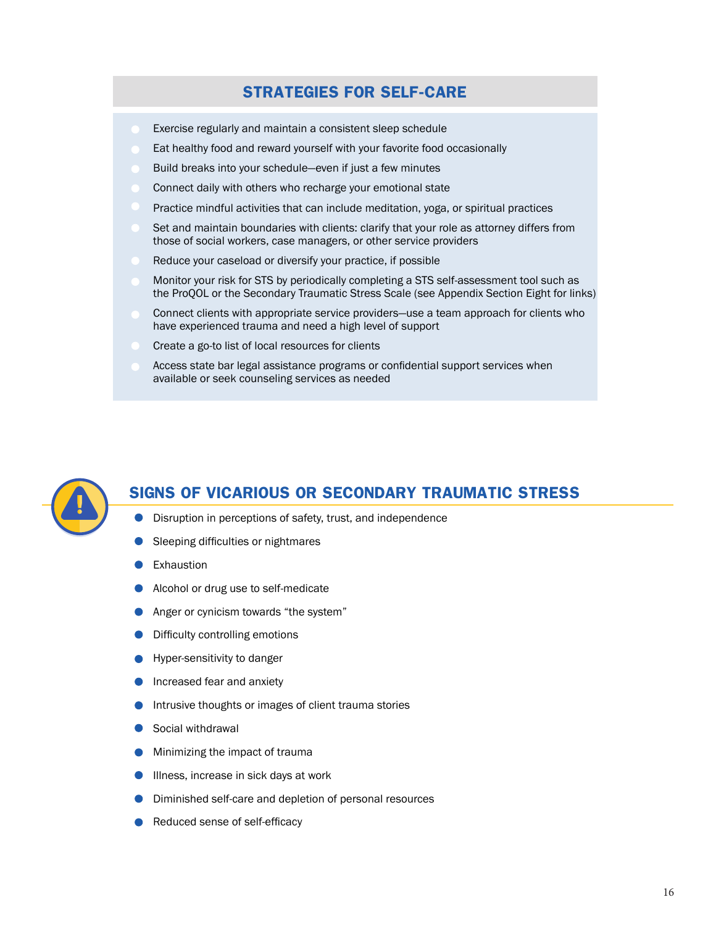# **STRATEGIES FOR SELF-CARE**

- Exercise regularly and maintain a consistent sleep schedule
- Eat healthy food and reward yourself with your favorite food occasionally
- Build breaks into your schedule—even if just a few minutes
- Connect daily with others who recharge your emotional state
- Practice mindful activities that can include meditation, yoga, or spiritual practices
- Set and maintain boundaries with clients: clarify that your role as attorney differs from those of social workers, case managers, or other service providers
- Reduce your caseload or diversify your practice, if possible
- Monitor your risk for STS by periodically completing a STS self-assessment tool such as the ProQOL or the Secondary Traumatic Stress Scale (see Appendix Section Eight for links)
- Connect clients with appropriate service providers—use a team approach for clients who have experienced trauma and need a high level of support
- Create a go-to list of local resources for clients
- Access state bar legal assistance programs or confidential support services when available or seek counseling services as needed



# **SIGNS OF VICARIOUS OR SECONDARY TRAUMATIC STRESS**

- **O** Disruption in perceptions of safety, trust, and independence
- Sleeping difficulties or nightmares
- Exhaustion
- Alcohol or drug use to self-medicate
- **Anger or cynicism towards "the system"**
- Difficulty controlling emotions
- Hyper-sensitivity to danger
- Increased fear and anxiety
- Intrusive thoughts or images of client trauma stories
- Social withdrawal
- **Minimizing the impact of trauma**
- **Illness, increase in sick days at work**
- **Diminished self-care and depletion of personal resources**
- Reduced sense of self-efficacy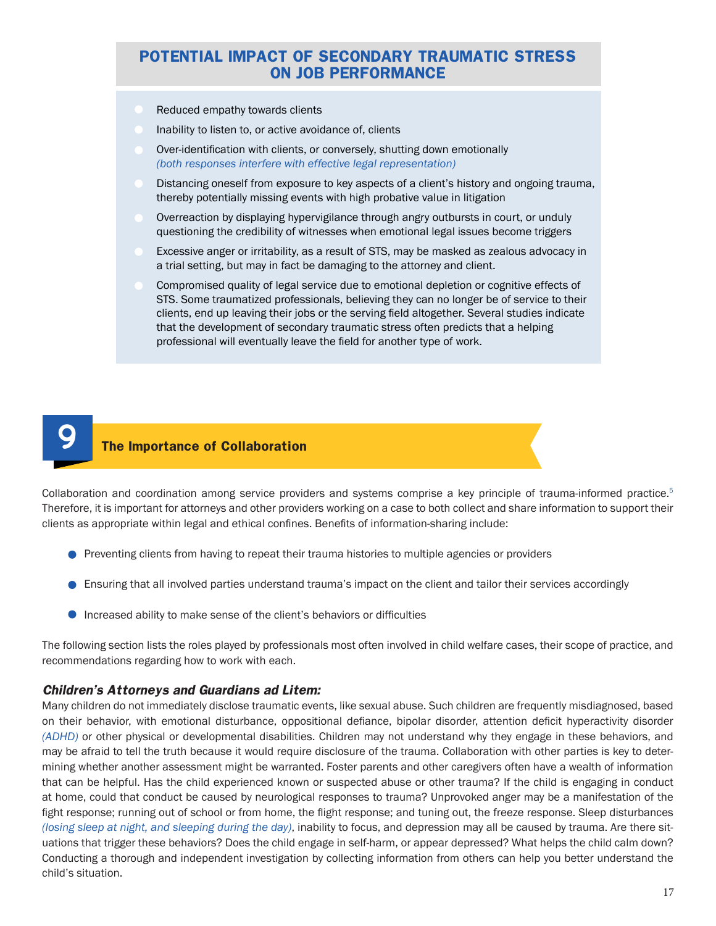### **POTENTIAL IMPACT OF SECONDARY TRAUMATIC STRESS ON JOB PERFORMANCE**

- Reduced empathy towards clients
- Inability to listen to, or active avoidance of, clients
- Over-identification with clients, or conversely, shutting down emotionally *(both responses interfere with effective legal representation)*
- Distancing oneself from exposure to key aspects of a client's history and ongoing trauma, thereby potentially missing events with high probative value in litigation
- Overreaction by displaying hypervigilance through angry outbursts in court, or unduly questioning the credibility of witnesses when emotional legal issues become triggers
- Excessive anger or irritability, as a result of STS, may be masked as zealous advocacy in a trial setting, but may in fact be damaging to the attorney and client.
- Compromised quality of legal service due to emotional depletion or cognitive effects of STS. Some traumatized professionals, believing they can no longer be of service to their clients, end up leaving their jobs or the serving field altogether. Several studies indicate that the development of secondary traumatic stress often predicts that a helping professional will eventually leave the field for another type of work.



#### **9 The Importance of Collaboration**

Collaboration and coordination among service providers and systems comprise a key principle of trauma-informed practice.<sup>[5](#page-19-4)</sup> Therefore, it is important for attorneys and other providers working on a case to both collect and share information to support their clients as appropriate within legal and ethical confines. Benefits of information-sharing include:

- **Preventing clients from having to repeat their trauma histories to multiple agencies or providers**
- Ensuring that all involved parties understand trauma's impact on the client and tailor their services accordingly
- Increased ability to make sense of the client's behaviors or difficulties

The following section lists the roles played by professionals most often involved in child welfare cases, their scope of practice, and recommendations regarding how to work with each.

#### *Children's Attorneys and Guardians ad Litem:*

Many children do not immediately disclose traumatic events, like sexual abuse. Such children are frequently misdiagnosed, based on their behavior, with emotional disturbance, oppositional defiance, bipolar disorder, attention deficit hyperactivity disorder *(ADHD)* or other physical or developmental disabilities. Children may not understand why they engage in these behaviors, and may be afraid to tell the truth because it would require disclosure of the trauma. Collaboration with other parties is key to determining whether another assessment might be warranted. Foster parents and other caregivers often have a wealth of information that can be helpful. Has the child experienced known or suspected abuse or other trauma? If the child is engaging in conduct at home, could that conduct be caused by neurological responses to trauma? Unprovoked anger may be a manifestation of the fight response; running out of school or from home, the flight response; and tuning out, the freeze response. Sleep disturbances *(losing sleep at night, and sleeping during the day)*, inability to focus, and depression may all be caused by trauma. Are there situations that trigger these behaviors? Does the child engage in self-harm, or appear depressed? What helps the child calm down? Conducting a thorough and independent investigation by collecting information from others can help you better understand the child's situation.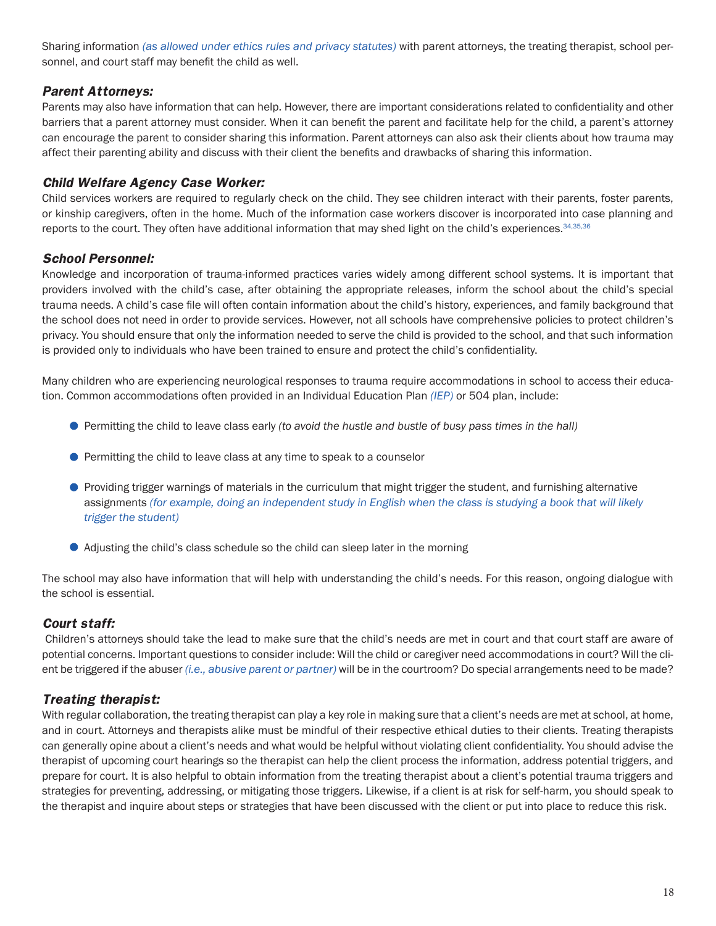Sharing information *(as allowed under ethics rules and privacy statutes)* with parent attorneys, the treating therapist, school personnel, and court staff may benefit the child as well.

#### *Parent Attorneys:*

Parents may also have information that can help. However, there are important considerations related to confidentiality and other barriers that a parent attorney must consider. When it can benefit the parent and facilitate help for the child, a parent's attorney can encourage the parent to consider sharing this information. Parent attorneys can also ask their clients about how trauma may affect their parenting ability and discuss with their client the benefits and drawbacks of sharing this information.

#### *Child Welfare Agency Case Worker:*

Child services workers are required to regularly check on the child. They see children interact with their parents, foster parents, or kinship caregivers, often in the home. Much of the information case workers discover is incorporated into case planning and reports to the court. They often have additional information that may shed light on the child's experiences.<sup>[34,](#page-21-4)[35](#page-21-5)[,36](#page-21-6)</sup>

#### *School Personnel:*

Knowledge and incorporation of trauma-informed practices varies widely among different school systems. It is important that providers involved with the child's case, after obtaining the appropriate releases, inform the school about the child's special trauma needs. A child's case file will often contain information about the child's history, experiences, and family background that the school does not need in order to provide services. However, not all schools have comprehensive policies to protect children's privacy. You should ensure that only the information needed to serve the child is provided to the school, and that such information is provided only to individuals who have been trained to ensure and protect the child's confidentiality.

Many children who are experiencing neurological responses to trauma require accommodations in school to access their education. Common accommodations often provided in an Individual Education Plan *(IEP)* or 504 plan, include:

- Permitting the child to leave class early *(to avoid the hustle and bustle of busy pass times in the hall)*
- **Permitting the child to leave class at any time to speak to a counselor**
- Providing trigger warnings of materials in the curriculum that might trigger the student, and furnishing alternative assignments *(for example, doing an independent study in English when the class is studying a book that will likely trigger the student)*
- Adjusting the child's class schedule so the child can sleep later in the morning

The school may also have information that will help with understanding the child's needs. For this reason, ongoing dialogue with the school is essential.

#### *Court staff:*

 Children's attorneys should take the lead to make sure that the child's needs are met in court and that court staff are aware of potential concerns. Important questions to consider include: Will the child or caregiver need accommodations in court? Will the client be triggered if the abuser *(i.e., abusive parent or partner)* will be in the courtroom? Do special arrangements need to be made?

#### *Treating therapist:*

With regular collaboration, the treating therapist can play a key role in making sure that a client's needs are met at school, at home, and in court. Attorneys and therapists alike must be mindful of their respective ethical duties to their clients. Treating therapists can generally opine about a client's needs and what would be helpful without violating client confidentiality. You should advise the therapist of upcoming court hearings so the therapist can help the client process the information, address potential triggers, and prepare for court. It is also helpful to obtain information from the treating therapist about a client's potential trauma triggers and strategies for preventing, addressing, or mitigating those triggers. Likewise, if a client is at risk for self-harm, you should speak to the therapist and inquire about steps or strategies that have been discussed with the client or put into place to reduce this risk.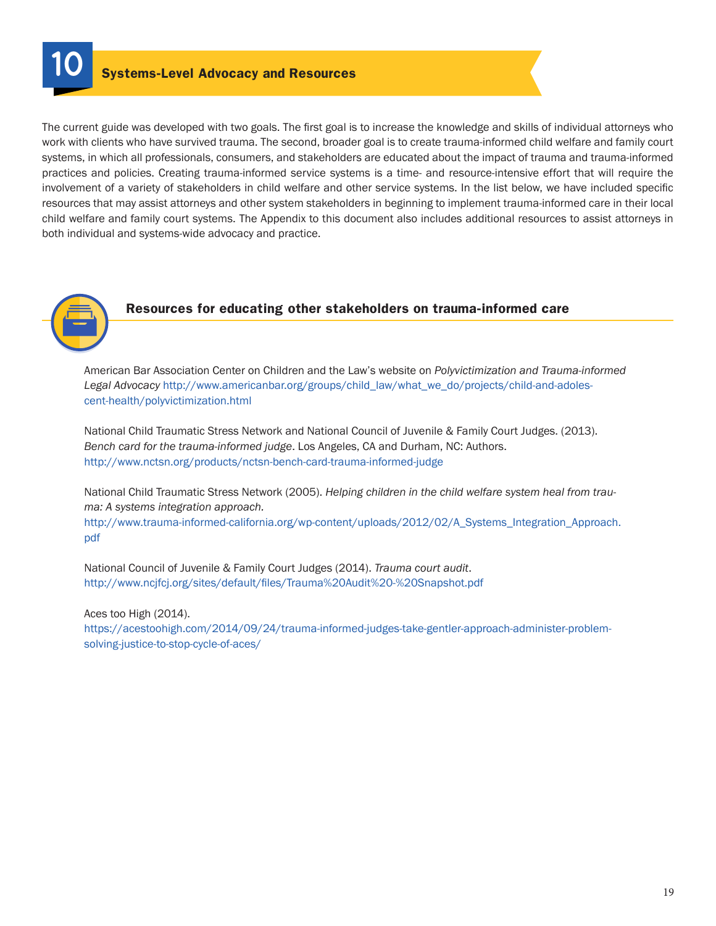The current guide was developed with two goals. The first goal is to increase the knowledge and skills of individual attorneys who work with clients who have survived trauma. The second, broader goal is to create trauma-informed child welfare and family court systems, in which all professionals, consumers, and stakeholders are educated about the impact of trauma and trauma-informed practices and policies. Creating trauma-informed service systems is a time- and resource-intensive effort that will require the involvement of a variety of stakeholders in child welfare and other service systems. In the list below, we have included specific resources that may assist attorneys and other system stakeholders in beginning to implement trauma-informed care in their local child welfare and family court systems. The Appendix to this document also includes additional resources to assist attorneys in both individual and systems-wide advocacy and practice.



#### **Resources for educating other stakeholders on trauma-informed care**

American Bar Association Center on Children and the Law's website on *Polyvictimization and Trauma-informed Legal Advocacy* [http://www.americanbar.org/groups/child\\_law/what\\_we\\_do/projects/child-and-adoles](http://www.americanbar.org/groups/child_law/what_we_do/projects/child-and-adolescent-health/polyvictimization.html)[cent-health/polyvictimization.html](http://www.americanbar.org/groups/child_law/what_we_do/projects/child-and-adolescent-health/polyvictimization.html)

National Child Traumatic Stress Network and National Council of Juvenile & Family Court Judges. (2013). *Bench card for the trauma-informed judge*. Los Angeles, CA and Durham, NC: Authors. [http://www.nctsn.org/products/nctsn-](http://www.nctsn.org/products/nctsn)bench-card-trauma-informed-judge

National Child Traumatic Stress Network (2005). *Helping children in the child welfare system heal from trauma: A systems integration approach.*

[http://www.trauma-informed-california.org/wp-content/uploads/2012/02/A\\_Systems\\_Integration\\_Approach.](http://www.trauma-informed-california.org/wp-content/uploads/2012/02/A_Systems_Integration_Approach.pdf) [pdf](http://www.trauma-informed-california.org/wp-content/uploads/2012/02/A_Systems_Integration_Approach.pdf)

National Council of Juvenile & Family Court Judges (2014). *Trauma court audit*. [http://www.ncjfcj.org/sites/default/files/Trauma%](http://www.ncjfcj.org/sites/default/files/Trauma)20Audit%20-%<20Snapshot.pdf>

Aces too High (2014). <https://acestoohigh.com/2014/09/24/trauma>-informed-judges-take-gentler-approach-administer-problemsolving-justice-to-stop-cycle-of-aces/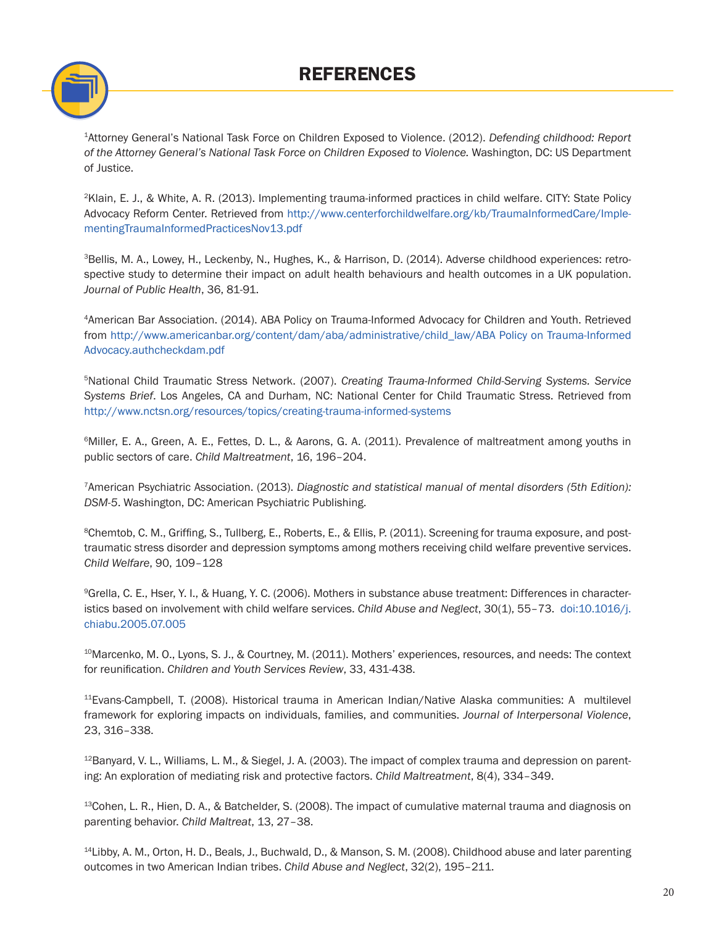# **REFERENCES**



<span id="page-19-0"></span><sup>1</sup>Attorney General's National Task Force on Children Exposed to Violence. (2012). *Defending childhood: Report of the Attorney General's National Task Force on Children Exposed to Violence.* Washington, DC: US Department of Justice.

<span id="page-19-1"></span><sup>2</sup>Klain, E. J., & White, A. R. (2013). Implementing trauma-informed practices in child welfare. CITY: State Policy Advocacy Reform Center. Retrieved from [http://www.centerforchildwelfare.org/kb/TraumaInformedCare/Imple](http://www.centerforchildwelfare.org/kb/TraumaInformedCare/ImplementingTraumaInformedPracticesNov13.pdf)[mentingTraumaInformedPracticesNov13.pdf](http://www.centerforchildwelfare.org/kb/TraumaInformedCare/ImplementingTraumaInformedPracticesNov13.pdf)

<span id="page-19-2"></span>3Bellis, M. A., Lowey, H., Leckenby, N., Hughes, K., & Harrison, D. (2014). Adverse childhood experiences: retrospective study to determine their impact on adult health behaviours and health outcomes in a UK population. *Journal of Public Health*, 36, 81-91.

<span id="page-19-3"></span><sup>4</sup>American Bar Association. (2014). ABA Policy on Trauma-Informed Advocacy for Children and Youth. Retrieved from [http://www.americanbar.org/content/dam/aba/administrative/child\\_law/ABA](http://www.americanbar.org/content/dam/aba/administrative/child_law/ABA) Policy on Trauma-Informed <Advocacy.authcheckdam.pdf>

<span id="page-19-4"></span>5National Child Traumatic Stress Network. (2007). *Creating Trauma-Informed Child-Serving Systems. Service Systems Brief*. Los Angeles, CA and Durham, NC: National Center for Child Traumatic Stress. Retrieved from [http://www.nctsn.org/resources/topics/creating-](http://www.nctsn.org/resources/topics/creating)trauma-informed-systems

<span id="page-19-5"></span>6Miller, E. A., Green, A. E., Fettes, D. L., & Aarons, G. A. (2011). Prevalence of maltreatment among youths in public sectors of care. *Child Maltreatment*, 16, 196–204.

<span id="page-19-6"></span><sup>7</sup>American Psychiatric Association. (2013). *Diagnostic and statistical manual of mental disorders (5th Edition): DSM-5*. Washington, DC: American Psychiatric Publishing.

<span id="page-19-7"></span><sup>8</sup>Chemtob, C. M., Griffing, S., Tullberg, E., Roberts, E., & Ellis, P. (2011). Screening for trauma exposure, and posttraumatic stress disorder and depression symptoms among mothers receiving child welfare preventive services. *Child Welfare*, 90, 109–128

<span id="page-19-8"></span>9Grella, C. E., Hser, Y. I., & Huang, Y. C. (2006). Mothers in substance abuse treatment: Differences in characteristics based on involvement with child welfare services. *Child Abuse and Neglect*, 30(1), 55–73. doi:[10.1016/j.](10.1016/j.chiabu) [chiabu](10.1016/j.chiabu).2005.07.005

<span id="page-19-9"></span><sup>10</sup>Marcenko, M. O., Lyons, S. J., & Courtney, M. (2011). Mothers' experiences, resources, and needs: The context for reunification. *Children and Youth Services Review*, 33, 431-438.

<span id="page-19-10"></span><sup>11</sup>Evans-Campbell, T. (2008). Historical trauma in American Indian/Native Alaska communities: A multilevel framework for exploring impacts on individuals, families, and communities. *Journal of Interpersonal Violence*, 23, 316–338.

<span id="page-19-11"></span> $12$ Banyard, V. L., Williams, L. M., & Siegel, J. A. (2003). The impact of complex trauma and depression on parenting: An exploration of mediating risk and protective factors. *Child Maltreatment*, 8(4), 334–349.

<span id="page-19-12"></span> $13$ Cohen, L. R., Hien, D. A., & Batchelder, S. (2008). The impact of cumulative maternal trauma and diagnosis on parenting behavior. *Child Maltreat*, 13, 27–38.

<span id="page-19-13"></span><sup>14</sup>Libby, A. M., Orton, H. D., Beals, J., Buchwald, D., & Manson, S. M. (2008). Childhood abuse and later parenting outcomes in two American Indian tribes. *Child Abuse and Neglect*, 32(2), 195–211.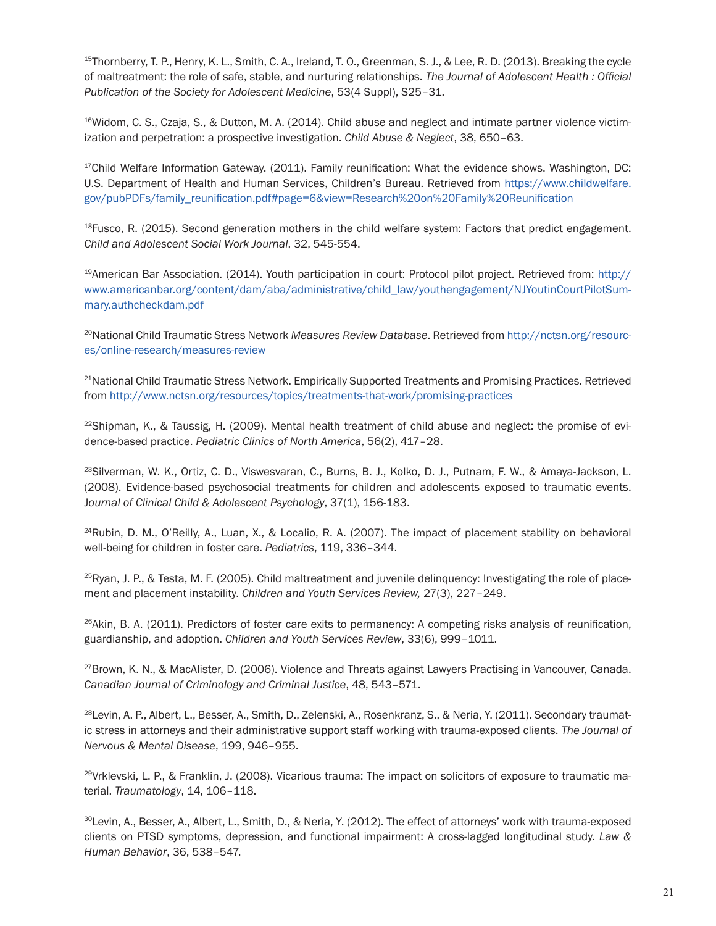<span id="page-20-0"></span><sup>15</sup>Thornberry, T. P., Henry, K. L., Smith, C. A., Ireland, T. O., Greenman, S. J., & Lee, R. D. (2013). Breaking the cycle of maltreatment: the role of safe, stable, and nurturing relationships. *The Journal of Adolescent Health : Official Publication of the Society for Adolescent Medicine*, 53(4 Suppl), S25–31.

<span id="page-20-1"></span> $16$ Widom, C. S., Czaja, S., & Dutton, M. A. (2014). Child abuse and neglect and intimate partner violence victimization and perpetration: a prospective investigation. *Child Abuse & Neglect*, 38, 650–63.

<span id="page-20-2"></span><sup>17</sup>Child Welfare Information Gateway. (2011). Family reunification: What the evidence shows. Washington, DC: U.S. Department of Health and Human Services, Children's Bureau. Retrieved from [https://www.childwelfare.](https://www.childwelfare.gov/pubPDFs/family_reunification.pdf) [gov/pubPDFs/family\\_reunification.pdf](https://www.childwelfare.gov/pubPDFs/family_reunification.pdf)#page=6&view=Research%20on%20Family%20Reunification

<span id="page-20-3"></span> $18$ Fusco, R. (2015). Second generation mothers in the child welfare system: Factors that predict engagement. *Child and Adolescent Social Work Journal*, 32, 545-554.

<span id="page-20-4"></span>19American Bar Association. (2014). Youth participation in court: Protocol pilot project. Retrieved from: [http://](http://www.americanbar.org/content/dam/aba/administrative/child_law/youthengagement/NJYoutinCourtPilotSummary.authcheckdam.pdf) [www.americanbar.org/content/dam/aba/administrative/child\\_law/youthengagement/NJYoutinCourtPilotSum](http://www.americanbar.org/content/dam/aba/administrative/child_law/youthengagement/NJYoutinCourtPilotSummary.authcheckdam.pdf)[mary.authcheckdam.pdf](http://www.americanbar.org/content/dam/aba/administrative/child_law/youthengagement/NJYoutinCourtPilotSummary.authcheckdam.pdf)

<span id="page-20-5"></span>20National Child Traumatic Stress Network *Measures Review Database*. Retrieved from [http://nctsn.org/resourc](http://nctsn.org/resources/online-research/measures)[es/online-research/measures-](http://nctsn.org/resources/online-research/measures)review

<span id="page-20-6"></span><sup>21</sup>National Child Traumatic Stress Network. Empirically Supported Treatments and Promising Practices. Retrieved from [http://www.nctsn.org/resources/topics/treatments-that-work/promising-](http://www.nctsn.org/resources/topics/treatments-that-work/promising)practices

<span id="page-20-7"></span> $22$ Shipman, K., & Taussig, H. (2009). Mental health treatment of child abuse and neglect: the promise of evidence-based practice. *Pediatric Clinics of North America*, 56(2), 417–28.

<span id="page-20-8"></span><sup>23</sup>Silverman, W. K., Ortiz, C. D., Viswesvaran, C., Burns, B. J., Kolko, D. J., Putnam, F. W., & Amaya-Jackson, L. (2008). Evidence-based psychosocial treatments for children and adolescents exposed to traumatic events. J*ournal of Clinical Child & Adolescent Psychology*, 37(1), 156-183.

<span id="page-20-9"></span> $24$ Rubin, D. M., O'Reilly, A., Luan, X., & Localio, R. A. (2007). The impact of placement stability on behavioral well-being for children in foster care. *Pediatrics*, 119, 336–344.

<span id="page-20-10"></span> $25R$ yan, J. P., & Testa, M. F. (2005). Child maltreatment and juvenile delinquency: Investigating the role of placement and placement instability. *Children and Youth Services Review,* 27(3), 227–249.

<span id="page-20-11"></span><sup>26</sup>Akin, B. A. (2011). Predictors of foster care exits to permanency: A competing risks analysis of reunification, guardianship, and adoption. *Children and Youth Services Review*, 33(6), 999–1011.

<span id="page-20-12"></span><sup>27</sup>Brown, K. N., & MacAlister, D. (2006). Violence and Threats against Lawyers Practising in Vancouver, Canada. *Canadian Journal of Criminology and Criminal Justice*, 48, 543–571.

<span id="page-20-13"></span>28Levin, A. P., Albert, L., Besser, A., Smith, D., Zelenski, A., Rosenkranz, S., & Neria, Y. (2011). Secondary traumatic stress in attorneys and their administrative support staff working with trauma-exposed clients. *The Journal of Nervous & Mental Disease*, 199, 946–955.

<span id="page-20-14"></span>29Vrklevski, L. P., & Franklin, J. (2008). Vicarious trauma: The impact on solicitors of exposure to traumatic material. *Traumatology*, 14, 106–118.

<span id="page-20-15"></span><sup>30</sup>Levin, A., Besser, A., Albert, L., Smith, D., & Neria, Y. (2012). The effect of attorneys' work with trauma-exposed clients on PTSD symptoms, depression, and functional impairment: A cross-lagged longitudinal study. *Law & Human Behavior*, 36, 538–547.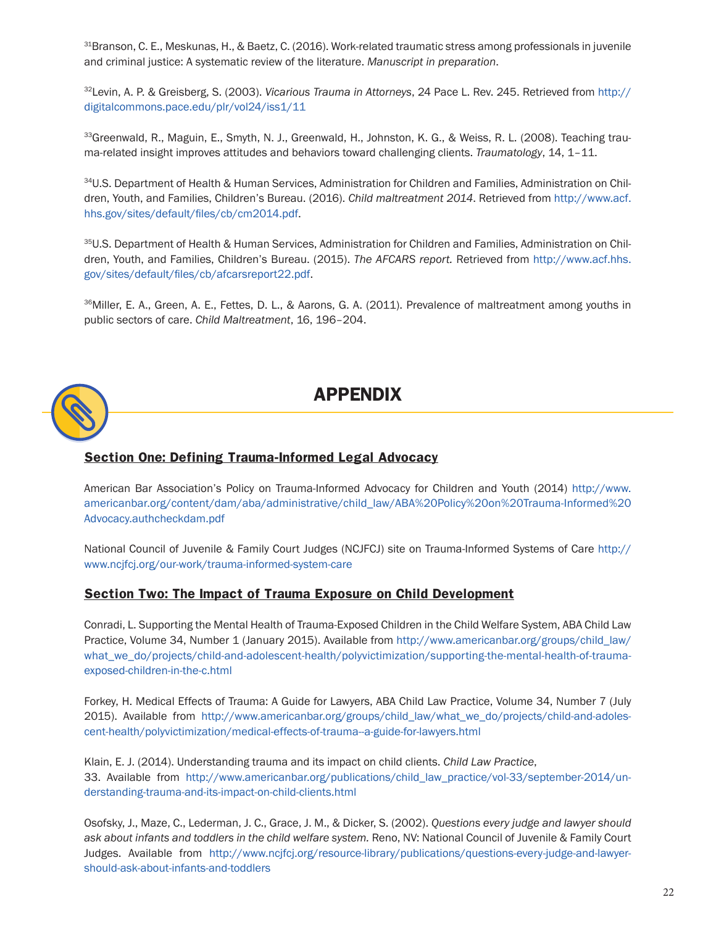<span id="page-21-1"></span> $31$ Branson, C. E., Meskunas, H., & Baetz, C. (2016). Work-related traumatic stress among professionals in juvenile and criminal justice: A systematic review of the literature. *Manuscript in preparation*.

<span id="page-21-2"></span><sup>32</sup>Levin, A. P. & Greisberg, S. (2003). *Vicarious Trauma in Attorneys*, 24 Pace L. Rev. 245. Retrieved from [http://](http://digitalcommons.pace.edu/plr/vol24/iss1/11) [digitalcommons.pace.edu/plr/vol24/iss1/11](http://digitalcommons.pace.edu/plr/vol24/iss1/11) 

<span id="page-21-3"></span>33 Greenwald, R., Maguin, E., Smyth, N. J., Greenwald, H., Johnston, K. G., & Weiss, R. L. (2008). Teaching trauma-related insight improves attitudes and behaviors toward challenging clients. *Traumatology*, 14, 1–11.

<span id="page-21-4"></span>34U.S. Department of Health & Human Services, Administration for Children and Families, Administration on Children, Youth, and Families, Children's Bureau. (2016). *Child maltreatment 2014*. Retrieved from [http://www.acf.](http://www.acf.hhs.gov/sites/default/files/cb/cm2014.pdf) [hhs.gov/sites/default/files/cb/cm2014.pdf](http://www.acf.hhs.gov/sites/default/files/cb/cm2014.pdf).

<span id="page-21-5"></span>35U.S. Department of Health & Human Services, Administration for Children and Families, Administration on Children, Youth, and Families, Children's Bureau. (2015). *The AFCARS report.* Retrieved from [http://www.acf.hhs.](http://www.acf.hhs.gov/sites/default/files/cb/afcarsreport22.pdf) [gov/sites/default/files/cb/afcarsreport22.pdf](http://www.acf.hhs.gov/sites/default/files/cb/afcarsreport22.pdf).

<span id="page-21-6"></span><sup>36</sup>Miller, E. A., Green, A. E., Fettes, D. L., & Aarons, G. A. (2011). Prevalence of maltreatment among youths in public sectors of care. *Child Maltreatment*, 16, 196–204.



# **APPENDIX**

#### **Section One: Defining Trauma-Informed Legal Advocacy**

American Bar Association's Policy on Trauma-Informed Advocacy for Children and Youth (2014) [http://www.](http://www.americanbar.org/content/dam/aba/administrative/child_law/ABA) [americanbar.org/content/dam/aba/administrative/child\\_law/ABA](http://www.americanbar.org/content/dam/aba/administrative/child_law/ABA)%20Policy%20on%20Trauma-Informed[%20](20Advocacy.authcheckdam.pdf) [Advocacy.authcheckdam.pdf](20Advocacy.authcheckdam.pdf)

National Council of Juvenile & Family Court Judges (NCJFCJ) site on Trauma-Informed Systems of Care [http://](http://www.ncjfcj.org/our-work/trauma) [www.ncjfcj.org/our-work/trauma](http://www.ncjfcj.org/our-work/trauma)-informed-system-care

#### <span id="page-21-0"></span>**Section Two: The Impact of Trauma Exposure on Child Development**

Conradi, L. Supporting the Mental Health of Trauma-Exposed Children in the Child Welfare System, ABA Child Law Practice, Volume 34, Number 1 (January 2015). Available from [http://www.americanbar.org/groups/child\\_law/](http://www.americanbar.org/groups/child_law/what_we_do/projects/child-and-adolescent-health/polyvictimization/supporting) [what\\_we\\_do/projects/child-and-adolescent-health/polyvictimization/supporting](http://www.americanbar.org/groups/child_law/what_we_do/projects/child-and-adolescent-health/polyvictimization/supporting)-the-mental-health-of-trauma<exposed-children-in-the-c.html>

Forkey, H. Medical Effects of Trauma: A Guide for Lawyers, ABA Child Law Practice, Volume 34, Number 7 (July 2015). Available from [http://www.americanbar.org/groups/child\\_law/what\\_we\\_do/projects/child-and-adoles](http://www.americanbar.org/groups/child_law/what_we_do/projects/child-and-adolescent-health/polyvictimization/medical-effects-of-trauma--a-guide-for-lawyers.html)[cent-health/polyvictimization/medical-effects-of-trauma--a-guide-for-lawyers.html](http://www.americanbar.org/groups/child_law/what_we_do/projects/child-and-adolescent-health/polyvictimization/medical-effects-of-trauma--a-guide-for-lawyers.html)

Klain, E. J. (2014). Understanding trauma and its impact on child clients. *Child Law Practice*, 33. Available from [http://www.americanbar.org/publications/child\\_law\\_practice/vol-33/september-2014/un](http://www.americanbar.org/publications/child_law_practice/vol-33/september-2014/understanding-trauma-and-its-impact-on-child-clients.html)[derstanding-trauma-and-its-impact-on-child-clients.html](http://www.americanbar.org/publications/child_law_practice/vol-33/september-2014/understanding-trauma-and-its-impact-on-child-clients.html)

Osofsky, J., Maze, C., Lederman, J. C., Grace, J. M., & Dicker, S. (2002). *Questions every judge and lawyer should ask about infants and toddlers in the child welfare system.* Reno, NV: National Council of Juvenile & Family Court Judges. Available from <http://www.ncjfcj.org/resource-library/publications/questions>-every-judge-and-lawyershould-ask-about-infants-and-toddlers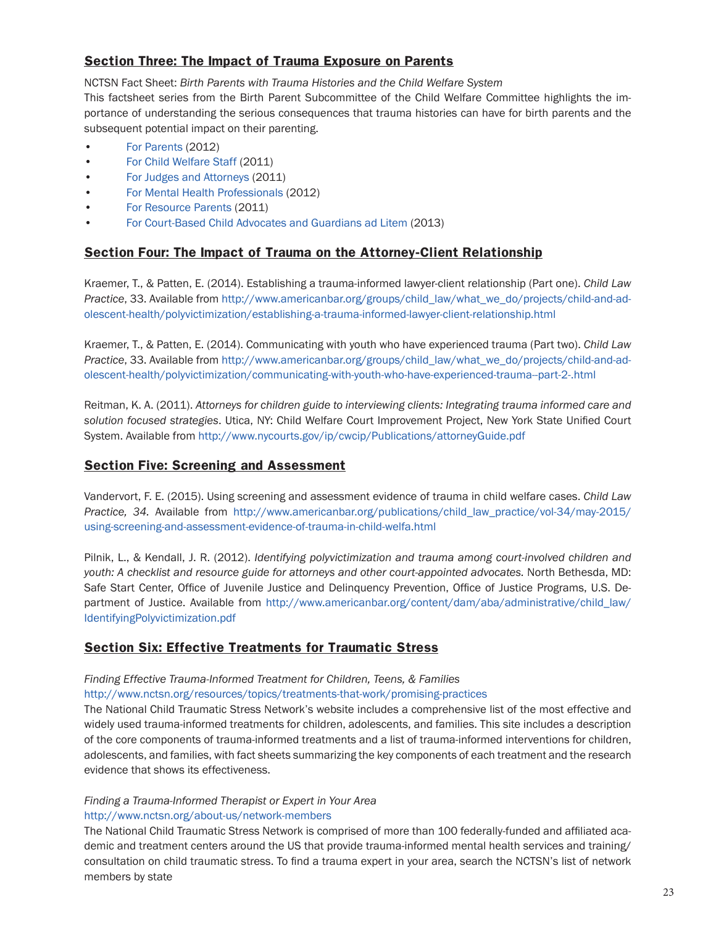#### **Section Three: The Impact of Trauma Exposure on Parents**

NCTSN Fact Sheet: *Birth Parents with Trauma Histories and the Child Welfare System* This factsheet series from the Birth Parent Subcommittee of the Child Welfare Committee highlights the importance of understanding the serious consequences that trauma histories can have for birth parents and the subsequent potential impact on their parenting.

- [For Parents](http://www.nctsnet.org/sites/all/modules/pubdlcnt/pubdlcnt.php?file=/sites/default/files/assets/pdfs/birth_parents_trauma_history_birth_parents.pdf&nid=255) (2012)
- [For Child Welfare Staff](http://www.nctsnet.org/sites/all/modules/pubdlcnt/pubdlcnt.php?file=http://www.nctsn.org/sites/default/files/assets/pdfs/birth_parents_trauma_guide_judges_final.pdf&nid=255) (2011)
- [For Judges and Attorneys](http://www.nctsnet.org/sites/all/modules/pubdlcnt/pubdlcnt.php?file=http://www.nctsn.org/sites/default/files/assets/pdfs/birth_parents_trauma_guide_judges_final.pdf&nid=255) (2011)
- [For Mental Health Professionals \(](http://www.nctsnet.org/sites/all/modules/pubdlcnt/pubdlcnt.php?file=http://nctsn.org/sites/default/files/assets/pdfs/birth_parents_trauma_resource_mh_professionals.pdf&nid=255)2012)
- [For Resource Parents](http://www.nctsnet.org/sites/all/modules/pubdlcnt/pubdlcnt.php?file=http://www.nctsn.org/sites/default/files/assets/pdfs/birth_parents_trauma_resource_parent_final.pdf&nid=255) (2011)
- [For Court-Based Child Advocates and Guardians ad Litem](http://www.nctsnet.org/sites/all/modules/pubdlcnt/pubdlcnt.php?file=/sites/default/files/birth_parents_trauma_history_casa_gal.pdf&nid=255) (2013)

#### **Section Four: The Impact of Trauma on the Attorney-Client Relationship**

Kraemer, T., & Patten, E. (2014). Establishing a trauma-informed lawyer-client relationship (Part one). *Child Law Practice*, 33. Available from [http://www.americanbar.org/groups/child\\_law/what\\_we\\_do/projects/child-and-ad](http://www.americanbar.org/groups/child_law/what_we_do/projects/child-and-adolescent-health/polyvictimization/establishing-a-trauma-informed-lawyer-client-relationship.html)[olescent-health/polyvictimization/establishing-a-trauma-informed-lawyer-client-relationship.html](http://www.americanbar.org/groups/child_law/what_we_do/projects/child-and-adolescent-health/polyvictimization/establishing-a-trauma-informed-lawyer-client-relationship.html)

Kraemer, T., & Patten, E. (2014). Communicating with youth who have experienced trauma (Part two). *Child Law Practice*, 33. Available from [http://www.americanbar.org/groups/child\\_law/what\\_we\\_do/projects/child-and-ad](http://www.americanbar.org/groups/child_law/what_we_do/projects/child-and-adolescent-health/polyvictimization/communicating-with-youth-who-have-experienced-trauma--part-2-.html)[olescent-health/polyvictimization/communicating-with-youth-who-have-experienced-trauma--part-2-.html](http://www.americanbar.org/groups/child_law/what_we_do/projects/child-and-adolescent-health/polyvictimization/communicating-with-youth-who-have-experienced-trauma--part-2-.html)

Reitman, K. A. (2011). *Attorneys for children guide to interviewing clients: Integrating trauma informed care and solution focused strategies*. Utica, NY: Child Welfare Court Improvement Project, New York State Unified Court System. Available from <http://www.nycourts.gov/ip/cwcip/Publications/attorneyGuide.pdf>

#### **Section Five: Screening and Assessment**

Vandervort, F. E. (2015). Using screening and assessment evidence of trauma in child welfare cases. *Child Law Practice, 34.* Available from [http://www.americanbar.org/publications/child\\_law\\_practice/vol-34/may-2015/](http://www.americanbar.org/publications/child_law_practice/vol-34/may-2015/using-screening-and-assessment-evidence-of-trauma-in-child-welfa.html) [using-screening-and-assessment-evidence-of-trauma-in-child-welfa.html](http://www.americanbar.org/publications/child_law_practice/vol-34/may-2015/using-screening-and-assessment-evidence-of-trauma-in-child-welfa.html)

Pilnik, L., & Kendall, J. R. (2012). *Identifying polyvictimization and trauma among court-involved children and youth: A checklist and resource guide for attorneys and other court-appointed advocates.* North Bethesda, MD: Safe Start Center, Office of Juvenile Justice and Delinquency Prevention, Office of Justice Programs, U.S. Department of Justice. Available from [http://www.americanbar.org/content/dam/aba/administrative/child\\_law/](http://www.americanbar.org/content/dam/aba/administrative/child_law/IdentifyingPolyvictimization.pdf) [IdentifyingPolyvictimization.pdf](http://www.americanbar.org/content/dam/aba/administrative/child_law/IdentifyingPolyvictimization.pdf)

#### <span id="page-22-0"></span>**Section Six: Effective Treatments for Traumatic Stress**

*Finding Effective Trauma-Informed Treatment for Children, Teens, & Families*  [http://www.nctsn.org/resources/topics/treatments-that-work/promising-](http://www.nctsn.org/resources/topics/treatments-that-work/promising)practices

The National Child Traumatic Stress Network's website includes a comprehensive list of the most effective and widely used trauma-informed treatments for children, adolescents, and families. This site includes a description of the core components of trauma-informed treatments and a list of trauma-informed interventions for children, adolescents, and families, with fact sheets summarizing the key components of each treatment and the research evidence that shows its effectiveness.

#### *Finding a Trauma-Informed Therapist or Expert in Your Area* <http://www.nctsn.org/about-us/network>-members

The National Child Traumatic Stress Network is comprised of more than 100 federally-funded and affiliated academic and treatment centers around the US that provide trauma-informed mental health services and training/ consultation on child traumatic stress. To find a trauma expert in your area, search the NCTSN's list of network members by state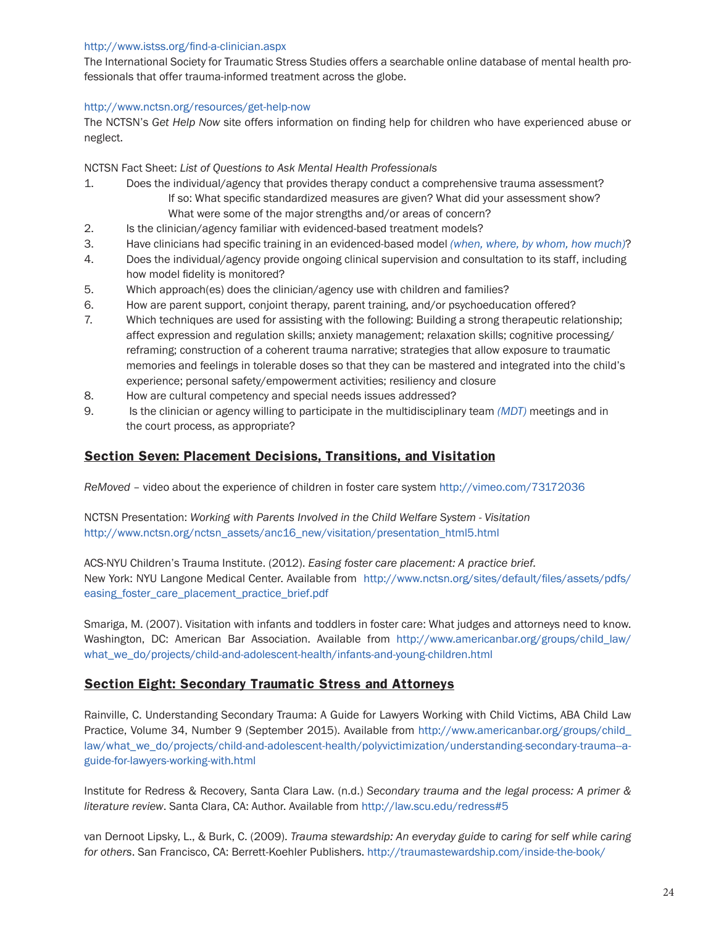#### <http://www.istss.org/find-a-clinician.aspx>

The International Society for Traumatic Stress Studies offers a searchable online database of mental health professionals that offer trauma-informed treatment across the globe.

#### <http://www.nctsn.org/resources/get>-help-now

The NCTSN's *Get Help Now* site offers information on finding help for children who have experienced abuse or neglect.

NCTSN Fact Sheet: *List of Questions to Ask Mental Health Professionals*

- 1. Does the individual/agency that provides therapy conduct a comprehensive trauma assessment? If so: What specific standardized measures are given? What did your assessment show? What were some of the major strengths and/or areas of concern?
- 2. Is the clinician/agency familiar with evidenced-based treatment models?
- 3. Have clinicians had specific training in an evidenced-based model *(when, where, by whom, how much)*?
- 4. Does the individual/agency provide ongoing clinical supervision and consultation to its staff, including how model fidelity is monitored?
- 5. Which approach(es) does the clinician/agency use with children and families?
- 6. How are parent support, conjoint therapy, parent training, and/or psychoeducation offered?
- 7. Which techniques are used for assisting with the following: Building a strong therapeutic relationship; affect expression and regulation skills; anxiety management; relaxation skills; cognitive processing/ reframing; construction of a coherent trauma narrative; strategies that allow exposure to traumatic memories and feelings in tolerable doses so that they can be mastered and integrated into the child's experience; personal safety/empowerment activities; resiliency and closure
- 8. How are cultural competency and special needs issues addressed?
- 9. Is the clinician or agency willing to participate in the multidisciplinary team *(MDT)* meetings and in the court process, as appropriate?

#### <span id="page-23-0"></span>**Section Seven: Placement Decisions, Transitions, and Visitation**

*ReMoved* – video about the experience of children in foster care system <http://vimeo.com/73172036>

NCTSN Presentation: *Working with Parents Involved in the Child Welfare System - Visitation* [http://www.nctsn.org/nctsn\\_assets/anc16\\_new/visitation/presentation\\_html5.html](http://www.nctsn.org/nctsn_assets/anc16_new/visitation/presentation_html5.html)

ACS-NYU Children's Trauma Institute. (2012). *Easing foster care placement: A practice brief.* New York: NYU Langone Medical Center. Available from [http://www.nctsn.org/sites/default/files/assets/pdfs/](http://www.nctsn.org/sites/default/files/assets/pdfs/easing_foster_care_placement_practice_brief.pdf) [easing\\_foster\\_care\\_placement\\_practice\\_brief.pdf](http://www.nctsn.org/sites/default/files/assets/pdfs/easing_foster_care_placement_practice_brief.pdf)

Smariga, M. (2007). Visitation with infants and toddlers in foster care: What judges and attorneys need to know. Washington, DC: American Bar Association. Available from [http://www.americanbar.org/groups/child\\_law/](http://www.americanbar.org/groups/child_law/what_we_do/projects/child-and-adolescent-health/infants-and-young-children.html) [what\\_we\\_do/projects/child-and-adolescent-health/infants-and-young-children.html](http://www.americanbar.org/groups/child_law/what_we_do/projects/child-and-adolescent-health/infants-and-young-children.html)

#### **Section Eight: Secondary Traumatic Stress and Attorneys**

Rainville, C. Understanding Secondary Trauma: A Guide for Lawyers Working with Child Victims, ABA Child Law Practice, Volume 34, Number 9 (September 2015). Available from [http://www.americanbar.org/groups/child\\_](http://www.americanbar.org/groups/child_law/what_we_do/projects/child-and-adolescent-health/polyvictimization/understanding-secondary-trauma--a-guide-for-lawyers-working-with.html) [law/what\\_we\\_do/projects/child-and-adolescent-health/polyvictimization/understanding-secondary-trauma--a](http://www.americanbar.org/groups/child_law/what_we_do/projects/child-and-adolescent-health/polyvictimization/understanding-secondary-trauma--a-guide-for-lawyers-working-with.html)[guide-for-lawyers-working-with.html](http://www.americanbar.org/groups/child_law/what_we_do/projects/child-and-adolescent-health/polyvictimization/understanding-secondary-trauma--a-guide-for-lawyers-working-with.html)

Institute for Redress & Recovery, Santa Clara Law. (n.d.) *Secondary trauma and the legal process: A primer & literature review*. Santa Clara, CA: Author. Available from <http://law.scu.edu/redress>#5

van Dernoot Lipsky, L., & Burk, C. (2009). *Trauma stewardship: An everyday guide to caring for self while caring for others*. San Francisco, CA: Berrett-Koehler Publishers. <http://traumastewardship.com/inside>-the-book/